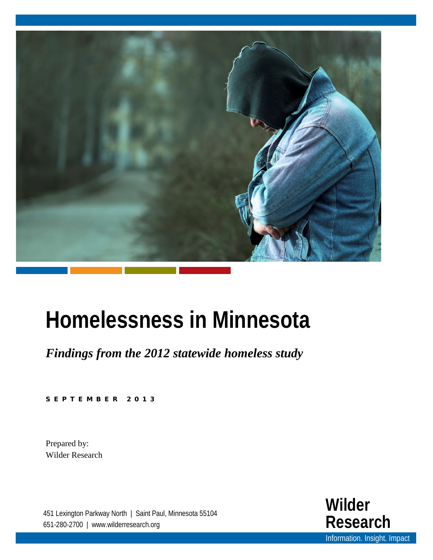

# **Homelessness in Minnesota**

*Findings from the 2012 statewide homeless study*

SEPTEMBER 201 3

Prepared by: Wilder Research

451 Lexington Parkway North | Saint Paul, Minnesota 55104 651-280-2700 | www.wilderresearch.org

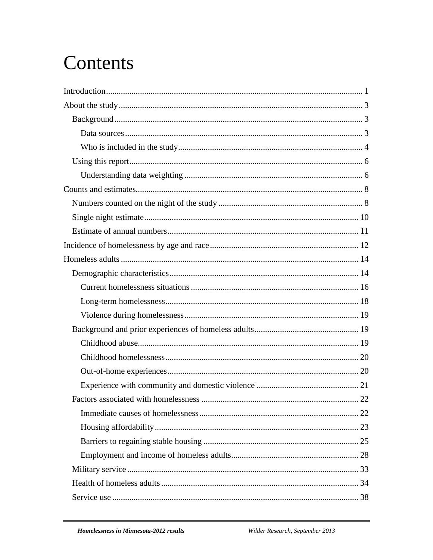## Contents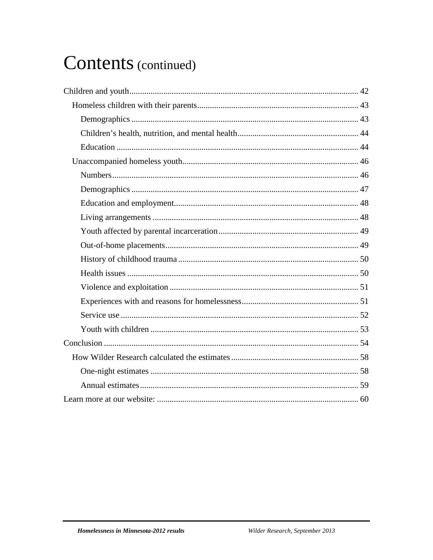## Contents (continued)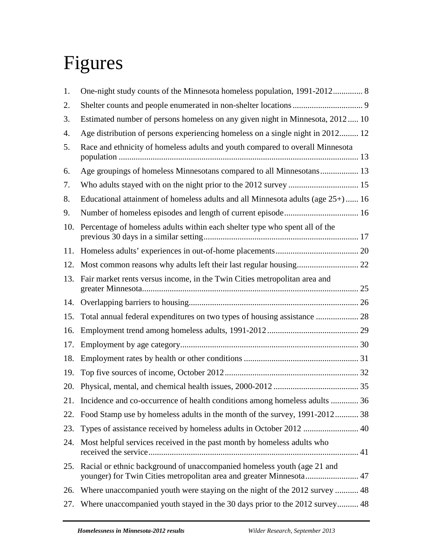# Figures

| 1.  | One-night study counts of the Minnesota homeless population, 1991-2012 8                                                                       |  |
|-----|------------------------------------------------------------------------------------------------------------------------------------------------|--|
| 2.  |                                                                                                                                                |  |
| 3.  | Estimated number of persons homeless on any given night in Minnesota, 2012 10                                                                  |  |
| 4.  | Age distribution of persons experiencing homeless on a single night in 2012 12                                                                 |  |
| 5.  | Race and ethnicity of homeless adults and youth compared to overall Minnesota                                                                  |  |
| 6.  | Age groupings of homeless Minnesotans compared to all Minnesotans 13                                                                           |  |
| 7.  | Who adults stayed with on the night prior to the 2012 survey  15                                                                               |  |
| 8.  | Educational attainment of homeless adults and all Minnesota adults (age 25+) 16                                                                |  |
| 9.  |                                                                                                                                                |  |
| 10. | Percentage of homeless adults within each shelter type who spent all of the                                                                    |  |
| 11. |                                                                                                                                                |  |
| 12. |                                                                                                                                                |  |
| 13. | Fair market rents versus income, in the Twin Cities metropolitan area and                                                                      |  |
| 14. |                                                                                                                                                |  |
| 15. | Total annual federal expenditures on two types of housing assistance  28                                                                       |  |
| 16. |                                                                                                                                                |  |
| 17. |                                                                                                                                                |  |
| 18. |                                                                                                                                                |  |
| 19. |                                                                                                                                                |  |
| 20. |                                                                                                                                                |  |
|     | 21. Incidence and co-occurrence of health conditions among homeless adults  36                                                                 |  |
| 22. | Food Stamp use by homeless adults in the month of the survey, 1991-2012 38                                                                     |  |
| 23. | Types of assistance received by homeless adults in October 2012  40                                                                            |  |
| 24. | Most helpful services received in the past month by homeless adults who                                                                        |  |
| 25. | Racial or ethnic background of unaccompanied homeless youth (age 21 and<br>younger) for Twin Cities metropolitan area and greater Minnesota 47 |  |
| 26. | Where unaccompanied youth were staying on the night of the 2012 survey  48                                                                     |  |
| 27. | Where unaccompanied youth stayed in the 30 days prior to the 2012 survey 48                                                                    |  |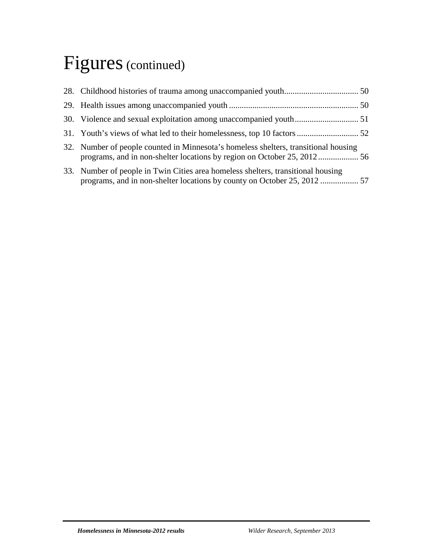## Figures (continued)

| 32. Number of people counted in Minnesota's homeless shelters, transitional housing |  |
|-------------------------------------------------------------------------------------|--|
| 33. Number of people in Twin Cities area homeless shelters, transitional housing    |  |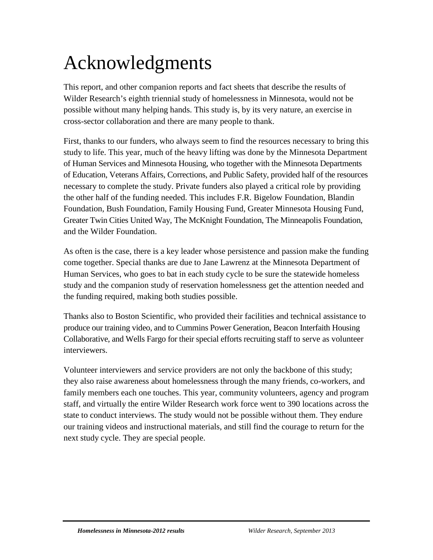## Acknowledgments

This report, and other companion reports and fact sheets that describe the results of Wilder Research's eighth triennial study of homelessness in Minnesota, would not be possible without many helping hands. This study is, by its very nature, an exercise in cross-sector collaboration and there are many people to thank.

First, thanks to our funders, who always seem to find the resources necessary to bring this study to life. This year, much of the heavy lifting was done by the Minnesota Department of Human Services and Minnesota Housing, who together with the Minnesota Departments of Education, Veterans Affairs, Corrections, and Public Safety, provided half of the resources necessary to complete the study. Private funders also played a critical role by providing the other half of the funding needed. This includes F.R. Bigelow Foundation, Blandin Foundation, Bush Foundation, Family Housing Fund, Greater Minnesota Housing Fund, Greater Twin Cities United Way, The McKnight Foundation, The Minneapolis Foundation, and the Wilder Foundation.

As often is the case, there is a key leader whose persistence and passion make the funding come together. Special thanks are due to Jane Lawrenz at the Minnesota Department of Human Services, who goes to bat in each study cycle to be sure the statewide homeless study and the companion study of reservation homelessness get the attention needed and the funding required, making both studies possible.

Thanks also to Boston Scientific, who provided their facilities and technical assistance to produce our training video, and to Cummins Power Generation, Beacon Interfaith Housing Collaborative, and Wells Fargo for their special efforts recruiting staff to serve as volunteer interviewers.

Volunteer interviewers and service providers are not only the backbone of this study; they also raise awareness about homelessness through the many friends, co-workers, and family members each one touches. This year, community volunteers, agency and program staff, and virtually the entire Wilder Research work force went to 390 locations across the state to conduct interviews. The study would not be possible without them. They endure our training videos and instructional materials, and still find the courage to return for the next study cycle. They are special people.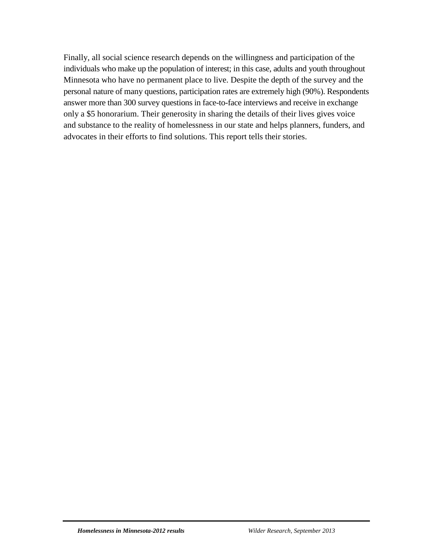Finally, all social science research depends on the willingness and participation of the individuals who make up the population of interest; in this case, adults and youth throughout Minnesota who have no permanent place to live. Despite the depth of the survey and the personal nature of many questions, participation rates are extremely high (90%). Respondents answer more than 300 survey questions in face-to-face interviews and receive in exchange only a \$5 honorarium. Their generosity in sharing the details of their lives gives voice and substance to the reality of homelessness in our state and helps planners, funders, and advocates in their efforts to find solutions. This report tells their stories.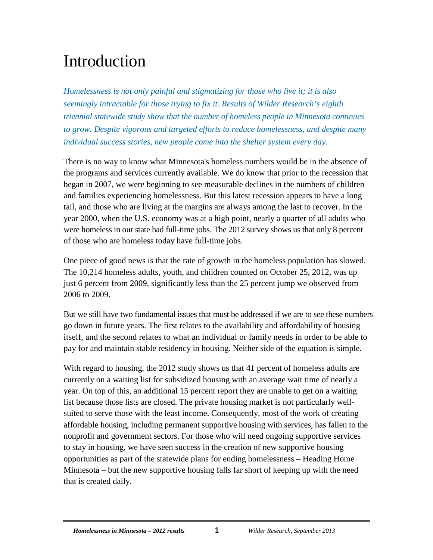## <span id="page-7-0"></span>Introduction

*Homelessness is not only painful and stigmatizing for those who live it; it is also seemingly intractable for those trying to fix it. Results of Wilder Research's eighth triennial statewide study show that the number of homeless people in Minnesota continues to grow. Despite vigorous and targeted efforts to reduce homelessness, and despite many individual success stories, new people come into the shelter system every day.*

There is no way to know what Minnesota's homeless numbers would be in the absence of the programs and services currently available. We do know that prior to the recession that began in 2007, we were beginning to see measurable declines in the numbers of children and families experiencing homelessness. But this latest recession appears to have a long tail, and those who are living at the margins are always among the last to recover. In the year 2000, when the U.S. economy was at a high point, nearly a quarter of all adults who were homeless in our state had full-time jobs. The 2012 survey shows us that only 8 percent of those who are homeless today have full-time jobs.

One piece of good news is that the rate of growth in the homeless population has slowed. The 10,214 homeless adults, youth, and children counted on October 25, 2012, was up just 6 percent from 2009, significantly less than the 25 percent jump we observed from 2006 to 2009.

But we still have two fundamental issues that must be addressed if we are to see these numbers go down in future years. The first relates to the availability and affordability of housing itself, and the second relates to what an individual or family needs in order to be able to pay for and maintain stable residency in housing. Neither side of the equation is simple.

With regard to housing, the 2012 study shows us that 41 percent of homeless adults are currently on a waiting list for subsidized housing with an average wait time of nearly a year. On top of this, an additional 15 percent report they are unable to get on a waiting list because those lists are closed. The private housing market is not particularly wellsuited to serve those with the least income. Consequently, most of the work of creating affordable housing, including permanent supportive housing with services, has fallen to the nonprofit and government sectors. For those who will need ongoing supportive services to stay in housing, we have seen success in the creation of new supportive housing opportunities as part of the statewide plans for ending homelessness – Heading Home Minnesota – but the new supportive housing falls far short of keeping up with the need that is created daily.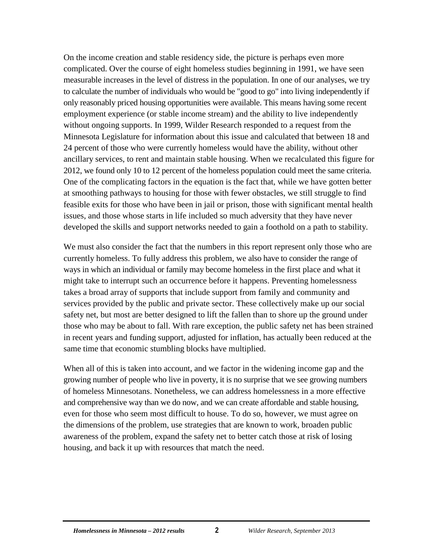On the income creation and stable residency side, the picture is perhaps even more complicated. Over the course of eight homeless studies beginning in 1991, we have seen measurable increases in the level of distress in the population. In one of our analyses, we try to calculate the number of individuals who would be "good to go" into living independently if only reasonably priced housing opportunities were available. This means having some recent employment experience (or stable income stream) and the ability to live independently without ongoing supports. In 1999, Wilder Research responded to a request from the Minnesota Legislature for information about this issue and calculated that between 18 and 24 percent of those who were currently homeless would have the ability, without other ancillary services, to rent and maintain stable housing. When we recalculated this figure for 2012, we found only 10 to 12 percent of the homeless population could meet the same criteria. One of the complicating factors in the equation is the fact that, while we have gotten better at smoothing pathways to housing for those with fewer obstacles, we still struggle to find feasible exits for those who have been in jail or prison, those with significant mental health issues, and those whose starts in life included so much adversity that they have never developed the skills and support networks needed to gain a foothold on a path to stability.

We must also consider the fact that the numbers in this report represent only those who are currently homeless. To fully address this problem, we also have to consider the range of ways in which an individual or family may become homeless in the first place and what it might take to interrupt such an occurrence before it happens. Preventing homelessness takes a broad array of supports that include support from family and community and services provided by the public and private sector. These collectively make up our social safety net, but most are better designed to lift the fallen than to shore up the ground under those who may be about to fall. With rare exception, the public safety net has been strained in recent years and funding support, adjusted for inflation, has actually been reduced at the same time that economic stumbling blocks have multiplied.

When all of this is taken into account, and we factor in the widening income gap and the growing number of people who live in poverty, it is no surprise that we see growing numbers of homeless Minnesotans. Nonetheless, we can address homelessness in a more effective and comprehensive way than we do now, and we can create affordable and stable housing, even for those who seem most difficult to house. To do so, however, we must agree on the dimensions of the problem, use strategies that are known to work, broaden public awareness of the problem, expand the safety net to better catch those at risk of losing housing, and back it up with resources that match the need.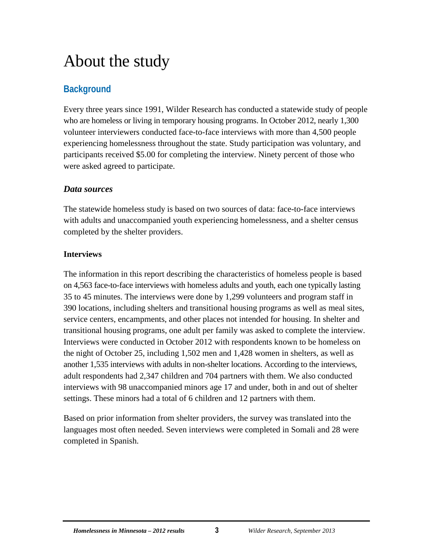## <span id="page-9-0"></span>About the study

## <span id="page-9-1"></span>**Background**

Every three years since 1991, Wilder Research has conducted a statewide study of people who are homeless or living in temporary housing programs. In October 2012, nearly 1,300 volunteer interviewers conducted face-to-face interviews with more than 4,500 people experiencing homelessness throughout the state. Study participation was voluntary, and participants received \$5.00 for completing the interview. Ninety percent of those who were asked agreed to participate.

### <span id="page-9-2"></span>*Data sources*

The statewide homeless study is based on two sources of data: face-to-face interviews with adults and unaccompanied youth experiencing homelessness, and a shelter census completed by the shelter providers.

### **Interviews**

The information in this report describing the characteristics of homeless people is based on 4,563 face-to-face interviews with homeless adults and youth, each one typically lasting 35 to 45 minutes. The interviews were done by 1,299 volunteers and program staff in 390 locations, including shelters and transitional housing programs as well as meal sites, service centers, encampments, and other places not intended for housing. In shelter and transitional housing programs, one adult per family was asked to complete the interview. Interviews were conducted in October 2012 with respondents known to be homeless on the night of October 25, including 1,502 men and 1,428 women in shelters, as well as another 1,535 interviews with adults in non-shelter locations. According to the interviews, adult respondents had 2,347 children and 704 partners with them. We also conducted interviews with 98 unaccompanied minors age 17 and under, both in and out of shelter settings. These minors had a total of 6 children and 12 partners with them.

Based on prior information from shelter providers, the survey was translated into the languages most often needed. Seven interviews were completed in Somali and 28 were completed in Spanish.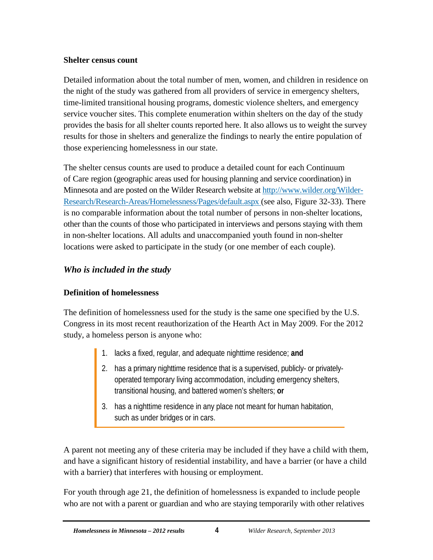#### **Shelter census count**

Detailed information about the total number of men, women, and children in residence on the night of the study was gathered from all providers of service in emergency shelters, time-limited transitional housing programs, domestic violence shelters, and emergency service voucher sites. This complete enumeration within shelters on the day of the study provides the basis for all shelter counts reported here. It also allows us to weight the survey results for those in shelters and generalize the findings to nearly the entire population of those experiencing homelessness in our state.

The shelter census counts are used to produce a detailed count for each Continuum of Care region (geographic areas used for housing planning and service coordination) in Minnesota and are posted on the Wilder Research website at [http://www.wilder.org/Wilder-](http://www.wilder.org/Wilder-Research/Research-Areas/Homelessness/Pages/default.aspx)[Research/Research-Areas/Homelessness/Pages/default.aspx](http://www.wilder.org/Wilder-Research/Research-Areas/Homelessness/Pages/default.aspx) (see also, Figure 32-33). There is no comparable information about the total number of persons in non-shelter locations, other than the counts of those who participated in interviews and persons staying with them in non-shelter locations. All adults and unaccompanied youth found in non-shelter locations were asked to participate in the study (or one member of each couple).

## <span id="page-10-0"></span>*Who is included in the study*

## **Definition of homelessness**

The definition of homelessness used for the study is the same one specified by the U.S. Congress in its most recent reauthorization of the Hearth Act in May 2009. For the 2012 study, a homeless person is anyone who:

- 1. lacks a fixed, regular, and adequate nighttime residence; **and**
- 2. has a primary nighttime residence that is a supervised, publicly- or privatelyoperated temporary living accommodation, including emergency shelters, transitional housing, and battered women's shelters; **or**
- 3. has a nighttime residence in any place not meant for human habitation, such as under bridges or in cars.

A parent not meeting any of these criteria may be included if they have a child with them, and have a significant history of residential instability, and have a barrier (or have a child with a barrier) that interferes with housing or employment.

For youth through age 21, the definition of homelessness is expanded to include people who are not with a parent or guardian and who are staying temporarily with other relatives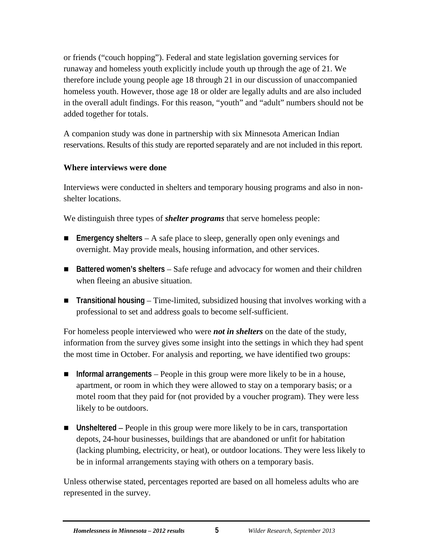or friends ("couch hopping"). Federal and state legislation governing services for runaway and homeless youth explicitly include youth up through the age of 21. We therefore include young people age 18 through 21 in our discussion of unaccompanied homeless youth. However, those age 18 or older are legally adults and are also included in the overall adult findings. For this reason, "youth" and "adult" numbers should not be added together for totals.

A companion study was done in partnership with six Minnesota American Indian reservations. Results of this study are reported separately and are not included in this report.

#### **Where interviews were done**

Interviews were conducted in shelters and temporary housing programs and also in nonshelter locations.

We distinguish three types of *shelter programs* that serve homeless people:

- **Emergency shelters** A safe place to sleep, generally open only evenings and overnight. May provide meals, housing information, and other services.
- Battered women's shelters Safe refuge and advocacy for women and their children when fleeing an abusive situation.
- **Transitional housing** Time-limited, subsidized housing that involves working with a professional to set and address goals to become self-sufficient.

For homeless people interviewed who were *not in shelters* on the date of the study, information from the survey gives some insight into the settings in which they had spent the most time in October. For analysis and reporting, we have identified two groups:

- **Informal arrangements** People in this group were more likely to be in a house, apartment, or room in which they were allowed to stay on a temporary basis; or a motel room that they paid for (not provided by a voucher program). They were less likely to be outdoors.
- Unsheltered People in this group were more likely to be in cars, transportation depots, 24-hour businesses, buildings that are abandoned or unfit for habitation (lacking plumbing, electricity, or heat), or outdoor locations. They were less likely to be in informal arrangements staying with others on a temporary basis.

Unless otherwise stated, percentages reported are based on all homeless adults who are represented in the survey.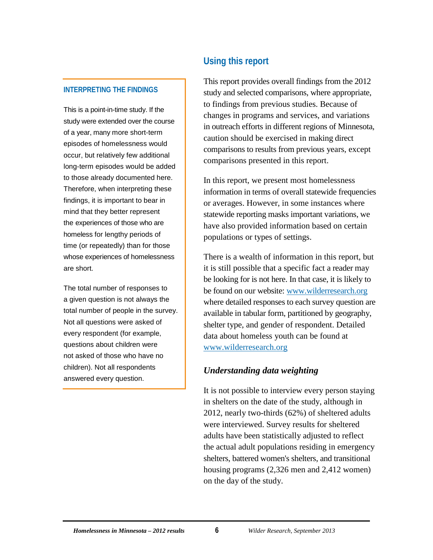#### **INTERPRETING THE FINDINGS**

This is a point-in-time study. If the study were extended over the course of a year, many more short-term episodes of homelessness would occur, but relatively few additional long-term episodes would be added to those already documented here. Therefore, when interpreting these findings, it is important to bear in mind that they better represent the experiences of those who are homeless for lengthy periods of time (or repeatedly) than for those whose experiences of homelessness are short.

The total number of responses to a given question is not always the total number of people in the survey. Not all questions were asked of every respondent (for example, questions about children were not asked of those who have no children). Not all respondents answered every question.

## <span id="page-12-0"></span>**Using this report**

This report provides overall findings from the 2012 study and selected comparisons, where appropriate, to findings from previous studies. Because of changes in programs and services, and variations in outreach efforts in different regions of Minnesota, caution should be exercised in making direct comparisons to results from previous years, except comparisons presented in this report.

In this report, we present most homelessness information in terms of overall statewide frequencies or averages. However, in some instances where statewide reporting masks important variations, we have also provided information based on certain populations or types of settings.

There is a wealth of information in this report, but it is still possible that a specific fact a reader may be looking for is not here. In that case, it is likely to be found on our website: [www.wilderresearch.org](http://www.wilder.org/Wilder-Research/Research-Areas/Homelessness/Pages/default.aspx) where detailed responses to each survey question are available in tabular form, partitioned by geography, shelter type, and gender of respondent. Detailed data about homeless youth can be found at [www.wilderresearch.org](file://wildcntrsanb/wr_docs/wrc/common/Homeless_2012/Reports/Kernel%20report%20(teal)/:%20http:/www.wilder.org/Wilder-Research/Research-Areas/Homelessness/Pages/Homeless-Youth-In-Minnesota.aspx.)

#### <span id="page-12-1"></span>*Understanding data weighting*

It is not possible to interview every person staying in shelters on the date of the study, although in 2012, nearly two-thirds (62%) of sheltered adults were interviewed. Survey results for sheltered adults have been statistically adjusted to reflect the actual adult populations residing in emergency shelters, battered women's shelters, and transitional housing programs (2,326 men and 2,412 women) on the day of the study.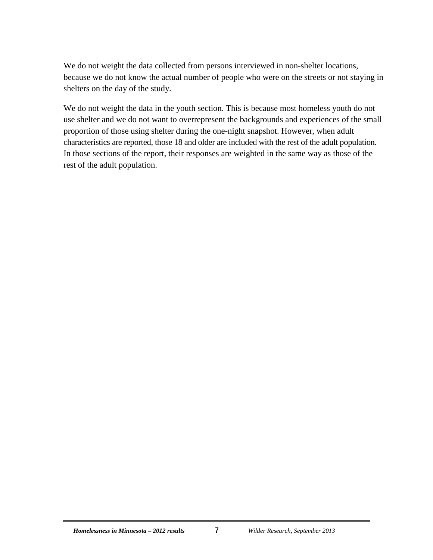We do not weight the data collected from persons interviewed in non-shelter locations, because we do not know the actual number of people who were on the streets or not staying in shelters on the day of the study.

We do not weight the data in the youth section. This is because most homeless youth do not use shelter and we do not want to overrepresent the backgrounds and experiences of the small proportion of those using shelter during the one-night snapshot. However, when adult characteristics are reported, those 18 and older are included with the rest of the adult population. In those sections of the report, their responses are weighted in the same way as those of the rest of the adult population.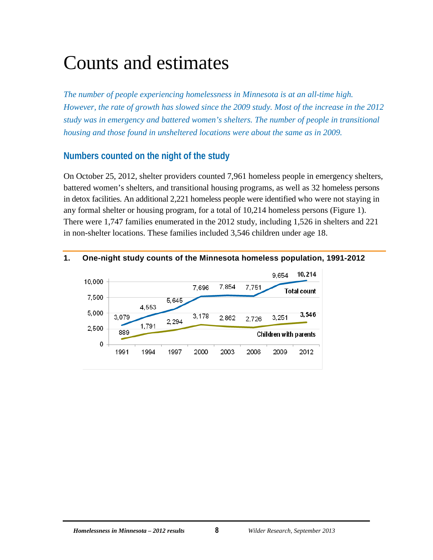## <span id="page-14-0"></span>Counts and estimates

*The number of people experiencing homelessness in Minnesota is at an all-time high. However, the rate of growth has slowed since the 2009 study. Most of the increase in the 2012 study was in emergency and battered women's shelters. The number of people in transitional housing and those found in unsheltered locations were about the same as in 2009.*

## <span id="page-14-1"></span>**Numbers counted on the night of the study**

On October 25, 2012, shelter providers counted 7,961 homeless people in emergency shelters, battered women's shelters, and transitional housing programs, as well as 32 homeless persons in detox facilities. An additional 2,221 homeless people were identified who were not staying in any formal shelter or housing program, for a total of 10,214 homeless persons (Figure 1). There were 1,747 families enumerated in the 2012 study, including 1,526 in shelters and 221 in non-shelter locations. These families included 3,546 children under age 18.

#### <span id="page-14-2"></span>**1. One-night study counts of the Minnesota homeless population, 1991-2012**

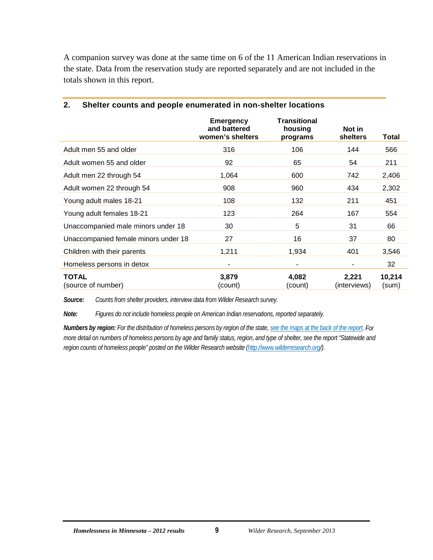A companion survey was done at the same time on 6 of the 11 American Indian reservations in the state. Data from the reservation study are reported separately and are not included in the totals shown in this report.

|                                      | <b>Emergency</b><br>and battered<br>women's shelters | <b>Transitional</b><br>housing<br>programs | Not in<br><b>shelters</b> | Total           |
|--------------------------------------|------------------------------------------------------|--------------------------------------------|---------------------------|-----------------|
| Adult men 55 and older               | 316                                                  | 106                                        | 144                       | 566             |
| Adult women 55 and older             | 92                                                   | 65                                         | 54                        | 211             |
| Adult men 22 through 54              | 1,064                                                | 600                                        | 742                       | 2,406           |
| Adult women 22 through 54            | 908                                                  | 960                                        | 434                       | 2,302           |
| Young adult males 18-21              | 108                                                  | 132                                        | 211                       | 451             |
| Young adult females 18-21            | 123                                                  | 264                                        | 167                       | 554             |
| Unaccompanied male minors under 18   | 30                                                   | 5                                          | 31                        | 66              |
| Unaccompanied female minors under 18 | 27                                                   | 16                                         | 37                        | 80              |
| Children with their parents          | 1,211                                                | 1,934                                      | 401                       | 3,546           |
| Homeless persons in detox            | ۰                                                    | $\blacksquare$                             |                           | 32              |
| <b>TOTAL</b><br>(source of number)   | 3.879<br>(count)                                     | 4,082<br>(count)                           | 2,221<br>(interviews)     | 10,214<br>(sum) |

#### <span id="page-15-0"></span>**2. Shelter counts and people enumerated in non-shelter locations**

*Source: Counts from shelter providers, interview data from Wilder Research survey.*

*Note: Figures do not include homeless people on American Indian reservations, reported separately.*

*Numbers by region: For the distribution of homeless persons by region of the state[, see the maps at the back of the report.](#page-62-0) For more detail on numbers of homeless persons by age and family status, region, and type of shelter, see the report "Statewide and region counts of homeless people" posted on the Wilder Research website [\(http://www.wilderresearch.org/\)](http://www.wilderresearch.org/).*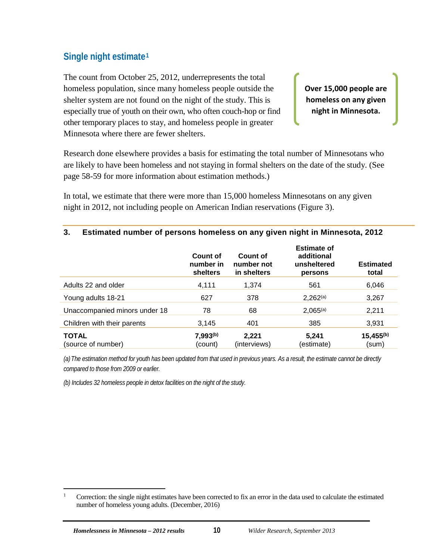## <span id="page-16-0"></span>**Single night estimate[1](#page-16-2)**

The count from October 25, 2012, underrepresents the total homeless population, since many homeless people outside the shelter system are not found on the night of the study. This is especially true of youth on their own, who often couch-hop or find other temporary places to stay, and homeless people in greater Minnesota where there are fewer shelters.

**Over 15,000 people are homeless on any given night in Minnesota.**

Research done elsewhere provides a basis for estimating the total number of Minnesotans who are likely to have been homeless and not staying in formal shelters on the date of the study. (See page 58-59 for more information about estimation methods.)

In total, we estimate that there were more than 15,000 homeless Minnesotans on any given night in 2012, not including people on American Indian reservations (Figure 3).

#### <span id="page-16-1"></span>**3. Estimated number of persons homeless on any given night in Minnesota, 2012**

|                                    | Count of<br>number in<br><b>shelters</b> | Count of<br>number not<br>in shelters | <b>Estimate of</b><br>additional<br>unsheltered<br>persons | <b>Estimated</b><br>total |
|------------------------------------|------------------------------------------|---------------------------------------|------------------------------------------------------------|---------------------------|
| Adults 22 and older                | 4,111                                    | 1,374                                 | 561                                                        | 6,046                     |
| Young adults 18-21                 | 627                                      | 378                                   | $2,262^{(a)}$                                              | 3,267                     |
| Unaccompanied minors under 18      | 78                                       | 68                                    | $2,065^{(a)}$                                              | 2,211                     |
| Children with their parents        | 3,145                                    | 401                                   | 385                                                        | 3,931                     |
| <b>TOTAL</b><br>(source of number) | $7,993^{(b)}$<br>(count)                 | 2,221<br>(interviews)                 | 5,241<br>(estimate)                                        | $15,455^{(b)}$<br>(sum)   |

*(a)The estimation method for youth has been updated from that used in previous years. As a result, the estimate cannot be directly compared to those from 2009 or earlier.*

*(b) Includes 32 homeless people in detox facilities on the night of the study.*

<span id="page-16-2"></span><sup>&</sup>lt;sup>1</sup> Correction: the single night estimates have been corrected to fix an error in the data used to calculate the estimated number of homeless young adults. (December, 2016)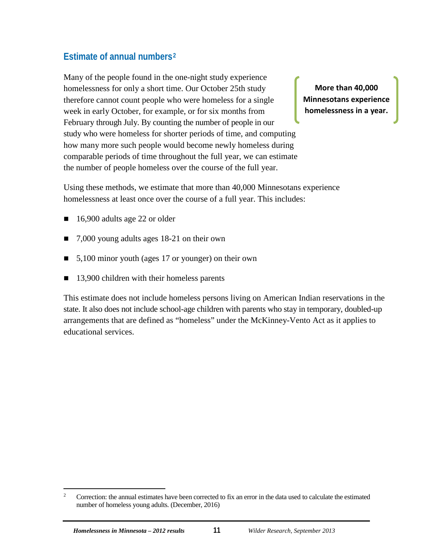## <span id="page-17-0"></span>**Estimate of annual numbers[2](#page-17-1)**

Many of the people found in the one-night study experience homelessness for only a short time. Our October 25th study therefore cannot count people who were homeless for a single week in early October, for example, or for six months from February through July. By counting the number of people in our study who were homeless for shorter periods of time, and computing how many more such people would become newly homeless during comparable periods of time throughout the full year, we can estimate the number of people homeless over the course of the full year.

**More than 40,000 Minnesotans experience homelessness in a year.**

Using these methods, we estimate that more than 40,000 Minnesotans experience homelessness at least once over the course of a full year. This includes:

- 16,900 adults age 22 or older
- 7,000 young adults ages 18-21 on their own
- 5,100 minor youth (ages 17 or younger) on their own
- 13,900 children with their homeless parents

This estimate does not include homeless persons living on American Indian reservations in the state. It also does not include school-age children with parents who stay in temporary, doubled-up arrangements that are defined as "homeless" under the McKinney-Vento Act as it applies to educational services.

<span id="page-17-1"></span><sup>&</sup>lt;sup>2</sup> Correction: the annual estimates have been corrected to fix an error in the data used to calculate the estimated number of homeless young adults. (December, 2016)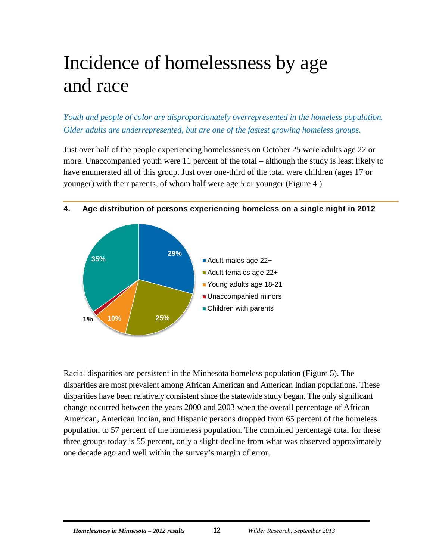## <span id="page-18-0"></span>Incidence of homelessness by age and race

*Youth and people of color are disproportionately overrepresented in the homeless population. Older adults are underrepresented, but are one of the fastest growing homeless groups.*

Just over half of the people experiencing homelessness on October 25 were adults age 22 or more. Unaccompanied youth were 11 percent of the total – although the study is least likely to have enumerated all of this group. Just over one-third of the total were children (ages 17 or younger) with their parents, of whom half were age 5 or younger (Figure 4.)



#### <span id="page-18-1"></span>**4. Age distribution of persons experiencing homeless on a single night in 2012**

Racial disparities are persistent in the Minnesota homeless population (Figure 5). The disparities are most prevalent among African American and American Indian populations. These disparities have been relatively consistent since the statewide study began. The only significant change occurred between the years 2000 and 2003 when the overall percentage of African American, American Indian, and Hispanic persons dropped from 65 percent of the homeless population to 57 percent of the homeless population. The combined percentage total for these three groups today is 55 percent, only a slight decline from what was observed approximately one decade ago and well within the survey's margin of error.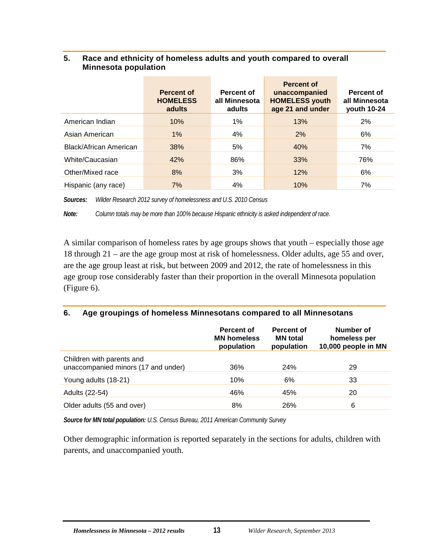#### <span id="page-19-0"></span>**5. Race and ethnicity of homeless adults and youth compared to overall Minnesota population**

|                               | <b>Percent of</b><br><b>HOMELESS</b><br>adults | Percent of<br>all Minnesota<br>adults | <b>Percent of</b><br>unaccompanied<br><b>HOMELESS youth</b><br>age 21 and under | Percent of<br>all Minnesota<br>youth 10-24 |
|-------------------------------|------------------------------------------------|---------------------------------------|---------------------------------------------------------------------------------|--------------------------------------------|
| American Indian               | 10%                                            | 1%                                    | 13%                                                                             | 2%                                         |
| Asian American                | $1\%$                                          | 4%                                    | 2%                                                                              | 6%                                         |
| <b>Black/African American</b> | 38%                                            | 5%                                    | 40%                                                                             | 7%                                         |
| White/Caucasian               | 42%                                            | 86%                                   | 33%                                                                             | 76%                                        |
| Other/Mixed race              | 8%                                             | 3%                                    | 12%                                                                             | 6%                                         |
| Hispanic (any race)           | 7%                                             | 4%                                    | 10%                                                                             | 7%                                         |

i.

*Sources: Wilder Research 2012 survey of homelessness and U.S. 2010 Census* 

*Note: Column totals may be more than 100% because Hispanic ethnicity is asked independent of race.*

A similar comparison of homeless rates by age groups shows that youth – especially those age 18 through 21 – are the age group most at risk of homelessness. Older adults, age 55 and over, are the age group least at risk, but between 2009 and 2012, the rate of homelessness in this age group rose considerably faster than their proportion in the overall Minnesota population (Figure 6).

#### <span id="page-19-1"></span>**6. Age groupings of homeless Minnesotans compared to all Minnesotans**

|                                                                  | Percent of<br><b>MN homeless</b><br>population | <b>Percent of</b><br><b>MN</b> total<br>population | Number of<br>homeless per<br>10,000 people in MN |
|------------------------------------------------------------------|------------------------------------------------|----------------------------------------------------|--------------------------------------------------|
| Children with parents and<br>unaccompanied minors (17 and under) | 36%                                            | <b>24%</b>                                         | 29                                               |
| Young adults (18-21)                                             | 10%                                            | 6%                                                 | 33                                               |
| Adults (22-54)                                                   | 46%                                            | 45%                                                | 20                                               |
| Older adults (55 and over)                                       | 8%                                             | 26%                                                | 6                                                |

*Source for MN total population: U.S. Census Bureau, 2011 American Community Survey*

Other demographic information is reported separately in the sections for adults, children with parents, and unaccompanied youth.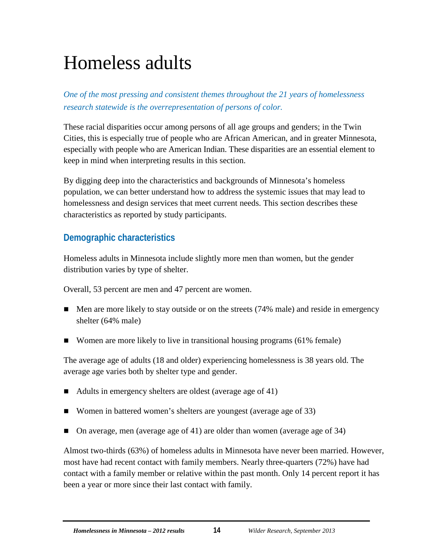## <span id="page-20-0"></span>Homeless adults

*One of the most pressing and consistent themes throughout the 21 years of homelessness research statewide is the overrepresentation of persons of color.* 

These racial disparities occur among persons of all age groups and genders; in the Twin Cities, this is especially true of people who are African American, and in greater Minnesota, especially with people who are American Indian. These disparities are an essential element to keep in mind when interpreting results in this section.

By digging deep into the characteristics and backgrounds of Minnesota's homeless population, we can better understand how to address the systemic issues that may lead to homelessness and design services that meet current needs. This section describes these characteristics as reported by study participants.

## <span id="page-20-1"></span>**Demographic characteristics**

Homeless adults in Minnesota include slightly more men than women, but the gender distribution varies by type of shelter.

Overall, 53 percent are men and 47 percent are women.

- Men are more likely to stay outside or on the streets (74% male) and reside in emergency shelter (64% male)
- Women are more likely to live in transitional housing programs (61% female)

The average age of adults (18 and older) experiencing homelessness is 38 years old. The average age varies both by shelter type and gender.

- Adults in emergency shelters are oldest (average age of 41)
- Women in battered women's shelters are youngest (average age of 33)
- On average, men (average age of 41) are older than women (average age of 34)

Almost two-thirds (63%) of homeless adults in Minnesota have never been married. However, most have had recent contact with family members. Nearly three-quarters (72%) have had contact with a family member or relative within the past month. Only 14 percent report it has been a year or more since their last contact with family.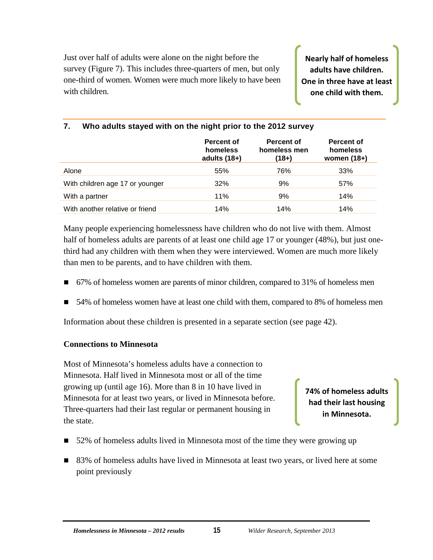Just over half of adults were alone on the night before the survey (Figure 7). This includes three-quarters of men, but only one-third of women. Women were much more likely to have been with children.

**Nearly half of homeless adults have children. One in three have at least one child with them.**

|                                 | Percent of<br>homeless<br>adults $(18+)$ | Percent of<br>homeless men<br>(18+) | Percent of<br>homeless<br>women $(18+)$ |
|---------------------------------|------------------------------------------|-------------------------------------|-----------------------------------------|
| Alone                           | 55%                                      | 76%                                 | 33%                                     |
| With children age 17 or younger | 32%                                      | 9%                                  | 57%                                     |
| With a partner                  | 11%                                      | 9%                                  | 14%                                     |
| With another relative or friend | 14%                                      | 14%                                 | 14%                                     |

#### <span id="page-21-0"></span>**7. Who adults stayed with on the night prior to the 2012 survey**

Many people experiencing homelessness have children who do not live with them. Almost half of homeless adults are parents of at least one child age 17 or younger (48%), but just onethird had any children with them when they were interviewed. Women are much more likely than men to be parents, and to have children with them.

- 67% of homeless women are parents of minor children, compared to 31% of homeless men
- 54% of homeless women have at least one child with them, compared to 8% of homeless men

Information about these children is presented in a separate section (see page 42).

#### **Connections to Minnesota**

Most of Minnesota's homeless adults have a connection to Minnesota. Half lived in Minnesota most or all of the time growing up (until age 16). More than 8 in 10 have lived in Minnesota for at least two years, or lived in Minnesota before. Three-quarters had their last regular or permanent housing in the state.

**74% of homeless adults had their last housing in Minnesota.**

- 52% of homeless adults lived in Minnesota most of the time they were growing up
- 83% of homeless adults have lived in Minnesota at least two years, or lived here at some point previously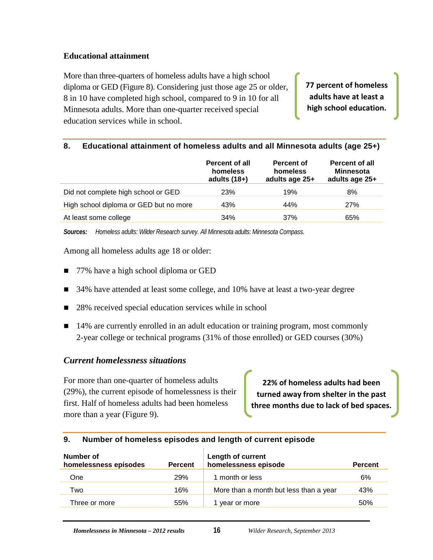#### **Educational attainment**

More than three-quarters of homeless adults have a high school diploma or GED (Figure 8). Considering just those age 25 or older, 8 in 10 have completed high school, compared to 9 in 10 for all Minnesota adults. More than one-quarter received special education services while in school.

**77 percent of homeless adults have at least a high school education.**

#### <span id="page-22-1"></span>**8. Educational attainment of homeless adults and all Minnesota adults (age 25+)**

|                                        | <b>Percent of all</b><br>homeless<br>adults $(18+)$ | Percent of<br>homeless<br>adults age 25+ | <b>Percent of all</b><br><b>Minnesota</b><br>adults age 25+ |
|----------------------------------------|-----------------------------------------------------|------------------------------------------|-------------------------------------------------------------|
| Did not complete high school or GED    | <b>23%</b>                                          | 19%                                      | 8%                                                          |
| High school diploma or GED but no more | 43%                                                 | 44%                                      | 27%                                                         |
| At least some college                  | 34%                                                 | 37%                                      | 65%                                                         |

*Sources: Homeless adults: Wilder Research survey. All Minnesota adults: Minnesota Compass.*

Among all homeless adults age 18 or older:

- 77% have a high school diploma or GED
- 34% have attended at least some college, and 10% have at least a two-year degree
- 28% received special education services while in school
- 14% are currently enrolled in an adult education or training program, most commonly 2-year college or technical programs (31% of those enrolled) or GED courses (30%)

#### <span id="page-22-0"></span>*Current homelessness situations*

For more than one-quarter of homeless adults (29%), the current episode of homelessness is their first. Half of homeless adults had been homeless more than a year (Figure 9).

**22% of homeless adults had been turned away from shelter in the past three months due to lack of bed spaces.**

#### <span id="page-22-2"></span>**9. Number of homeless episodes and length of current episode**

| Number of<br>homelessness episodes | <b>Percent</b> | <b>Length of current</b><br>homelessness episode | <b>Percent</b> |
|------------------------------------|----------------|--------------------------------------------------|----------------|
| One                                | <b>29%</b>     | 1 month or less                                  | 6%             |
| Two                                | 16%            | More than a month but less than a year           | 43%            |
| Three or more                      | 55%            | year or more                                     | 50%            |
|                                    |                |                                                  |                |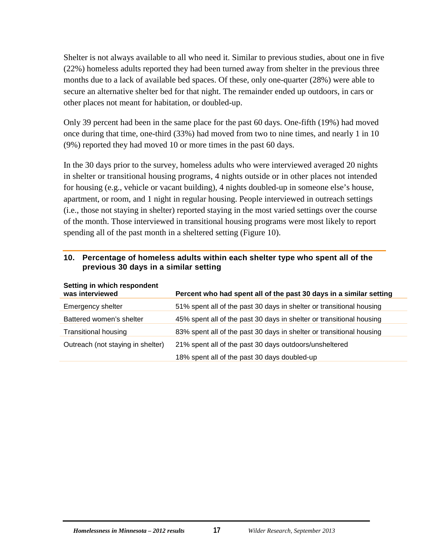Shelter is not always available to all who need it. Similar to previous studies, about one in five (22%) homeless adults reported they had been turned away from shelter in the previous three months due to a lack of available bed spaces. Of these, only one-quarter (28%) were able to secure an alternative shelter bed for that night. The remainder ended up outdoors, in cars or other places not meant for habitation, or doubled-up.

Only 39 percent had been in the same place for the past 60 days. One-fifth (19%) had moved once during that time, one-third (33%) had moved from two to nine times, and nearly 1 in 10 (9%) reported they had moved 10 or more times in the past 60 days.

In the 30 days prior to the survey, homeless adults who were interviewed averaged 20 nights in shelter or transitional housing programs, 4 nights outside or in other places not intended for housing (e.g., vehicle or vacant building), 4 nights doubled-up in someone else's house, apartment, or room, and 1 night in regular housing. People interviewed in outreach settings (i.e., those not staying in shelter) reported staying in the most varied settings over the course of the month. Those interviewed in transitional housing programs were most likely to report spending all of the past month in a sheltered setting (Figure 10).

#### <span id="page-23-0"></span>**10. Percentage of homeless adults within each shelter type who spent all of the previous 30 days in a similar setting**

| <b>SEITING IN WINCH RESPONDENT</b><br>was interviewed | Percent who had spent all of the past 30 days in a similar setting   |
|-------------------------------------------------------|----------------------------------------------------------------------|
| Emergency shelter                                     | 51% spent all of the past 30 days in shelter or transitional housing |
| Battered women's shelter                              | 45% spent all of the past 30 days in shelter or transitional housing |
| <b>Transitional housing</b>                           | 83% spent all of the past 30 days in shelter or transitional housing |
| Outreach (not staying in shelter)                     | 21% spent all of the past 30 days outdoors/unsheltered               |
|                                                       | 18% spent all of the past 30 days doubled-up                         |

#### **Setting in which respondent**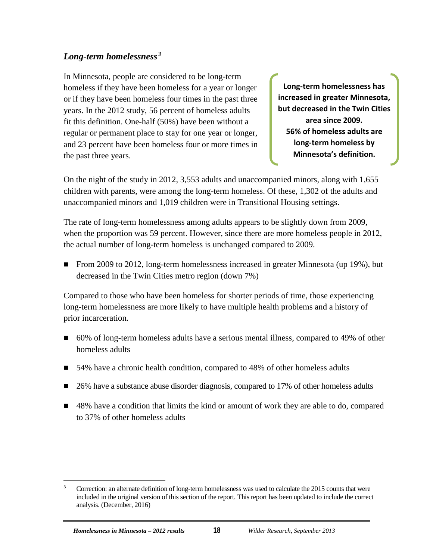## <span id="page-24-0"></span>*Long-term homelessness [3](#page-24-1)*

In Minnesota, people are considered to be long-term homeless if they have been homeless for a year or longer or if they have been homeless four times in the past three years. In the 2012 study, 56 percent of homeless adults fit this definition. One-half (50%) have been without a regular or permanent place to stay for one year or longer, and 23 percent have been homeless four or more times in the past three years.

**Long-term homelessness has increased in greater Minnesota, but decreased in the Twin Cities area since 2009. 56% of homeless adults are long-term homeless by Minnesota's definition.**

On the night of the study in 2012, 3,553 adults and unaccompanied minors, along with 1,655 children with parents, were among the long-term homeless. Of these, 1,302 of the adults and unaccompanied minors and 1,019 children were in Transitional Housing settings.

The rate of long-term homelessness among adults appears to be slightly down from 2009, when the proportion was 59 percent. However, since there are more homeless people in 2012, the actual number of long-term homeless is unchanged compared to 2009.

From 2009 to 2012, long-term homelessness increased in greater Minnesota (up 19%), but decreased in the Twin Cities metro region (down 7%)

Compared to those who have been homeless for shorter periods of time, those experiencing long-term homelessness are more likely to have multiple health problems and a history of prior incarceration.

- 60% of long-term homeless adults have a serious mental illness, compared to 49% of other homeless adults
- 54% have a chronic health condition, compared to 48% of other homeless adults
- 26% have a substance abuse disorder diagnosis, compared to 17% of other homeless adults
- 48% have a condition that limits the kind or amount of work they are able to do, compared to 37% of other homeless adults

<span id="page-24-1"></span><sup>&</sup>lt;sup>3</sup> Correction: an alternate definition of long-term homelessness was used to calculate the 2015 counts that were included in the original version of this section of the report. This report has been updated to include the correct analysis. (December, 2016)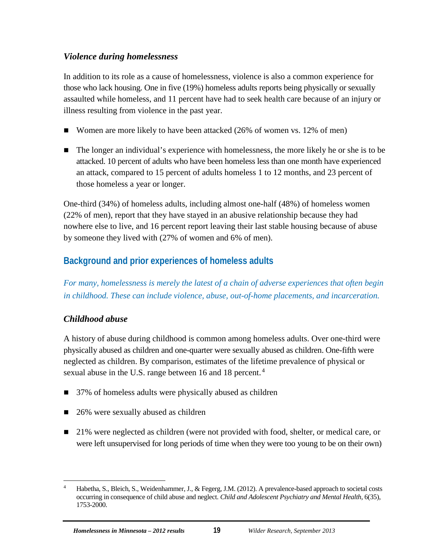## <span id="page-25-0"></span>*Violence during homelessness*

In addition to its role as a cause of homelessness, violence is also a common experience for those who lack housing. One in five (19%) homeless adults reports being physically or sexually assaulted while homeless, and 11 percent have had to seek health care because of an injury or illness resulting from violence in the past year.

- Women are more likely to have been attacked (26% of women vs. 12% of men)
- The longer an individual's experience with homelessness, the more likely he or she is to be attacked. 10 percent of adults who have been homeless less than one month have experienced an attack, compared to 15 percent of adults homeless 1 to 12 months, and 23 percent of those homeless a year or longer.

One-third (34%) of homeless adults, including almost one-half (48%) of homeless women (22% of men), report that they have stayed in an abusive relationship because they had nowhere else to live, and 16 percent report leaving their last stable housing because of abuse by someone they lived with (27% of women and 6% of men).

## <span id="page-25-1"></span>**Background and prior experiences of homeless adults**

*For many, homelessness is merely the latest of a chain of adverse experiences that often begin in childhood. These can include violence, abuse, out-of-home placements, and incarceration.*

## <span id="page-25-2"></span>*Childhood abuse*

A history of abuse during childhood is common among homeless adults. Over one-third were physically abused as children and one-quarter were sexually abused as children. One-fifth were neglected as children. By comparison, estimates of the lifetime prevalence of physical or sexual abuse in the U.S. range between 16 and 18 percent.<sup>[4](#page-25-3)</sup>

- 37% of homeless adults were physically abused as children
- 26% were sexually abused as children
- 21% were neglected as children (were not provided with food, shelter, or medical care, or were left unsupervised for long periods of time when they were too young to be on their own)

<span id="page-25-3"></span><sup>&</sup>lt;sup>4</sup> Habetha, S., Bleich, S., Weidenhammer, J., & Fegerg, J.M. (2012). A prevalence-based approach to societal costs occurring in consequence of child abuse and neglect. *Child and Adolescent Psychiatry and Mental Health*, 6(35), 1753-2000.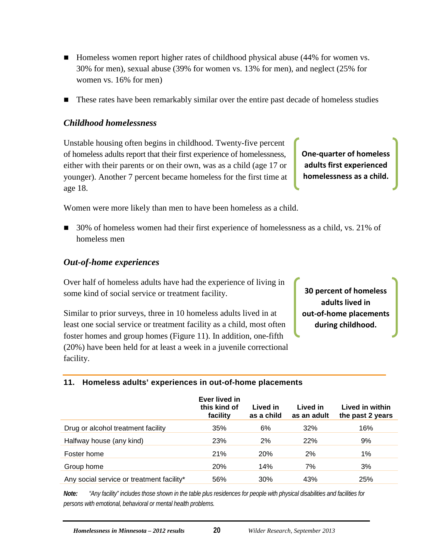- Homeless women report higher rates of childhood physical abuse (44% for women vs. 30% for men), sexual abuse (39% for women vs. 13% for men), and neglect (25% for women vs. 16% for men)
- **These rates have been remarkably similar over the entire past decade of homeless studies**

#### <span id="page-26-0"></span>*Childhood homelessness*

Unstable housing often begins in childhood. Twenty-five percent of homeless adults report that their first experience of homelessness, either with their parents or on their own, was as a child (age 17 or younger). Another 7 percent became homeless for the first time at age 18.

Women were more likely than men to have been homeless as a child.

■ 30% of homeless women had their first experience of homelessness as a child, vs. 21% of homeless men

#### <span id="page-26-1"></span>*Out-of-home experiences*

Over half of homeless adults have had the experience of living in some kind of social service or treatment facility.

Similar to prior surveys, three in 10 homeless adults lived in at least one social service or treatment facility as a child, most often foster homes and group homes (Figure 11). In addition, one-fifth (20%) have been held for at least a week in a juvenile correctional facility.

**30 percent of homeless adults lived in out-of-home placements during childhood.**

**One-quarter of homeless adults first experienced homelessness as a child.**

#### <span id="page-26-2"></span>**11. Homeless adults' experiences in out-of-home placements**

|                                           | Ever lived in<br>this kind of<br>facility | Lived in<br>as a child | Lived in<br>as an adult | Lived in within<br>the past 2 years |
|-------------------------------------------|-------------------------------------------|------------------------|-------------------------|-------------------------------------|
| Drug or alcohol treatment facility        | 35%                                       | 6%                     | 32%                     | 16%                                 |
| Halfway house (any kind)                  | 23%                                       | 2%                     | 22%                     | 9%                                  |
| Foster home                               | 21%                                       | <b>20%</b>             | 2%                      | 1%                                  |
| Group home                                | <b>20%</b>                                | 14%                    | 7%                      | 3%                                  |
| Any social service or treatment facility* | 56%                                       | 30%                    | 43%                     | 25%                                 |

*Note: "Any facility" includes those shown in the table plus residences for people with physical disabilities and facilities for persons with emotional, behavioral or mental health problems.*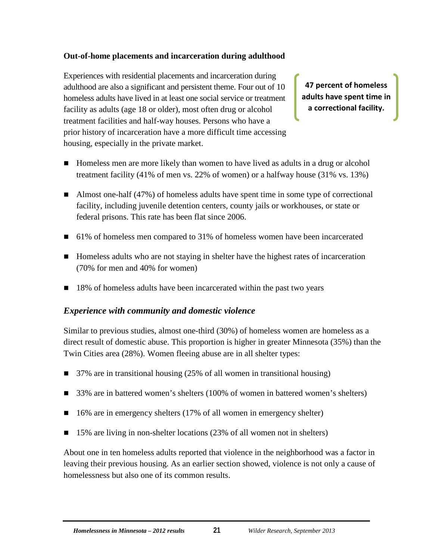#### **Out-of-home placements and incarceration during adulthood**

Experiences with residential placements and incarceration during adulthood are also a significant and persistent theme. Four out of 10 homeless adults have lived in at least one social service or treatment facility as adults (age 18 or older), most often drug or alcohol treatment facilities and half-way houses. Persons who have a prior history of incarceration have a more difficult time accessing housing, especially in the private market.

**47 percent of homeless adults have spent time in a correctional facility.**

- Homeless men are more likely than women to have lived as adults in a drug or alcohol treatment facility (41% of men vs. 22% of women) or a halfway house (31% vs. 13%)
- Almost one-half (47%) of homeless adults have spent time in some type of correctional facility, including juvenile detention centers, county jails or workhouses, or state or federal prisons. This rate has been flat since 2006.
- 61% of homeless men compared to 31% of homeless women have been incarcerated
- Homeless adults who are not staying in shelter have the highest rates of incarceration (70% for men and 40% for women)
- 18% of homeless adults have been incarcerated within the past two years

#### <span id="page-27-0"></span>*Experience with community and domestic violence*

Similar to previous studies, almost one-third (30%) of homeless women are homeless as a direct result of domestic abuse. This proportion is higher in greater Minnesota (35%) than the Twin Cities area (28%). Women fleeing abuse are in all shelter types:

- 37% are in transitional housing (25% of all women in transitional housing)
- 33% are in battered women's shelters (100% of women in battered women's shelters)
- $\blacksquare$  16% are in emergency shelters (17% of all women in emergency shelter)
- 15% are living in non-shelter locations (23% of all women not in shelters)

About one in ten homeless adults reported that violence in the neighborhood was a factor in leaving their previous housing. As an earlier section showed, violence is not only a cause of homelessness but also one of its common results.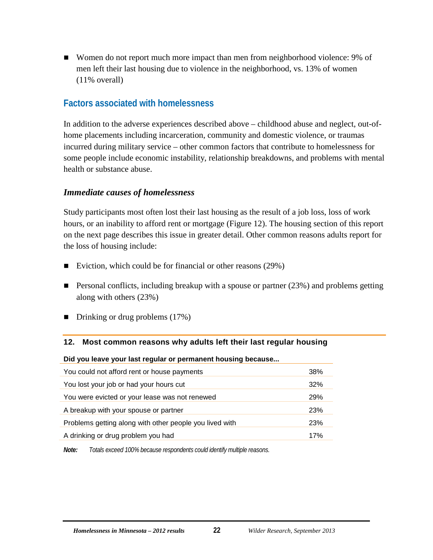■ Women do not report much more impact than men from neighborhood violence: 9% of men left their last housing due to violence in the neighborhood, vs. 13% of women (11% overall)

## <span id="page-28-0"></span>**Factors associated with homelessness**

In addition to the adverse experiences described above – childhood abuse and neglect, out-ofhome placements including incarceration, community and domestic violence, or traumas incurred during military service – other common factors that contribute to homelessness for some people include economic instability, relationship breakdowns, and problems with mental health or substance abuse.

### <span id="page-28-1"></span>*Immediate causes of homelessness*

Study participants most often lost their last housing as the result of a job loss, loss of work hours, or an inability to afford rent or mortgage (Figure 12). The housing section of this report on the next page describes this issue in greater detail. Other common reasons adults report for the loss of housing include:

- Eviction, which could be for financial or other reasons  $(29%)$
- **Personal conflicts, including breakup with a spouse or partner (23%) and problems getting** along with others (23%)
- Drinking or drug problems (17%)

#### <span id="page-28-2"></span>**12. Most common reasons why adults left their last regular housing**

#### **Did you leave your last regular or permanent housing because...**

| You could not afford rent or house payments             | 38%        |
|---------------------------------------------------------|------------|
| You lost your job or had your hours cut                 | 32%        |
| You were evicted or your lease was not renewed          | 29%        |
| A breakup with your spouse or partner                   | 23%        |
| Problems getting along with other people you lived with | <b>23%</b> |
| A drinking or drug problem you had                      | 17%        |
|                                                         |            |

*Note: Totals exceed 100% because respondents could identify multiple reasons.*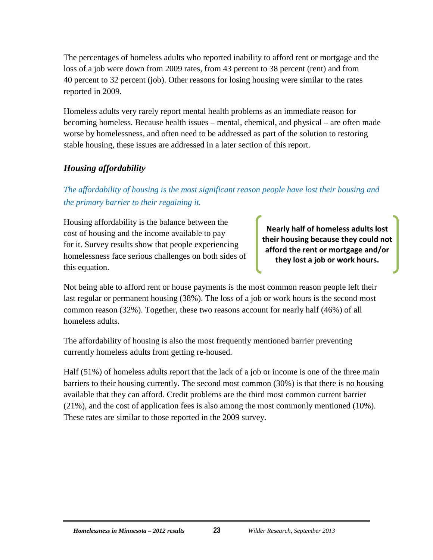The percentages of homeless adults who reported inability to afford rent or mortgage and the loss of a job were down from 2009 rates, from 43 percent to 38 percent (rent) and from 40 percent to 32 percent (job). Other reasons for losing housing were similar to the rates reported in 2009.

Homeless adults very rarely report mental health problems as an immediate reason for becoming homeless. Because health issues – mental, chemical, and physical – are often made worse by homelessness, and often need to be addressed as part of the solution to restoring stable housing, these issues are addressed in a later section of this report.

## <span id="page-29-0"></span>*Housing affordability*

## *The affordability of housing is the most significant reason people have lost their housing and the primary barrier to their regaining it.*

Housing affordability is the balance between the cost of housing and the income available to pay for it. Survey results show that people experiencing homelessness face serious challenges on both sides of this equation.

**Nearly half of homeless adults lost their housing because they could not afford the rent or mortgage and/or they lost a job or work hours.**

Not being able to afford rent or house payments is the most common reason people left their last regular or permanent housing (38%). The loss of a job or work hours is the second most common reason (32%). Together, these two reasons account for nearly half (46%) of all homeless adults.

The affordability of housing is also the most frequently mentioned barrier preventing currently homeless adults from getting re-housed.

Half (51%) of homeless adults report that the lack of a job or income is one of the three main barriers to their housing currently. The second most common (30%) is that there is no housing available that they can afford. Credit problems are the third most common current barrier (21%), and the cost of application fees is also among the most commonly mentioned (10%). These rates are similar to those reported in the 2009 survey.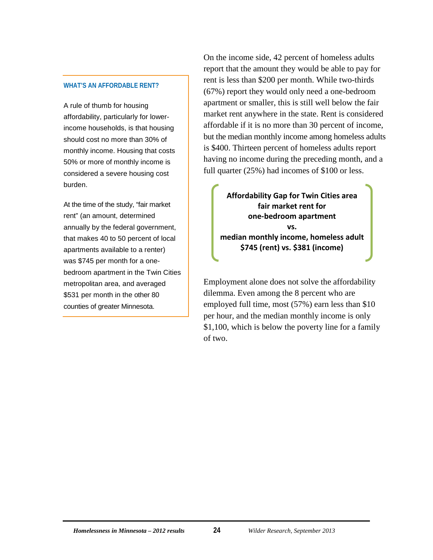#### **WHAT'S AN AFFORDABLE RENT?**

A rule of thumb for housing affordability, particularly for lowerincome households, is that housing should cost no more than 30% of monthly income. Housing that costs 50% or more of monthly income is considered a severe housing cost burden.

At the time of the study, "fair market rent" (an amount, determined annually by the federal government, that makes 40 to 50 percent of local apartments available to a renter) was \$745 per month for a onebedroom apartment in the Twin Cities metropolitan area, and averaged \$531 per month in the other 80 counties of greater Minnesota.

On the income side, 42 percent of homeless adults report that the amount they would be able to pay for rent is less than \$200 per month. While two-thirds (67%) report they would only need a one-bedroom apartment or smaller, this is still well below the fair market rent anywhere in the state. Rent is considered affordable if it is no more than 30 percent of income, but the median monthly income among homeless adults is \$400. Thirteen percent of homeless adults report having no income during the preceding month, and a full quarter (25%) had incomes of \$100 or less.

**Affordability Gap for Twin Cities area fair market rent for one-bedroom apartment vs. median monthly income, homeless adult \$745 (rent) vs. \$381 (income)**

Employment alone does not solve the affordability dilemma. Even among the 8 percent who are employed full time, most (57%) earn less than \$10 per hour, and the median monthly income is only \$1,100, which is below the poverty line for a family of two.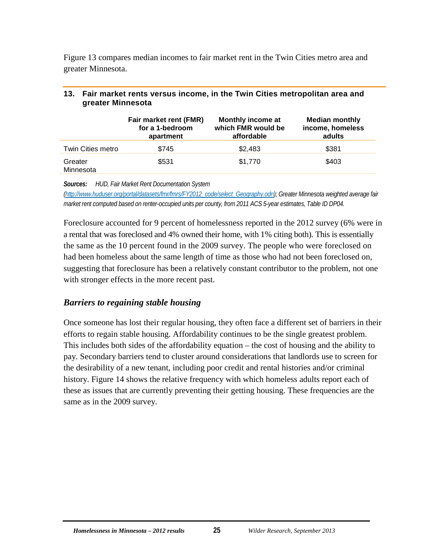Figure 13 compares median incomes to fair market rent in the Twin Cities metro area and greater Minnesota.

|                      | Fair market rent (FMR)<br>for a 1-bedroom<br>apartment | Monthly income at<br>which FMR would be<br>affordable | <b>Median monthly</b><br>income, homeless<br>adults |
|----------------------|--------------------------------------------------------|-------------------------------------------------------|-----------------------------------------------------|
| Twin Cities metro    | \$745                                                  | \$2,483                                               | \$381                                               |
| Greater<br>Minnesota | \$531                                                  | \$1,770                                               | \$403                                               |

#### <span id="page-31-1"></span>**13. Fair market rents versus income, in the Twin Cities metropolitan area and greater Minnesota**

*Sources: HUD, Fair Market Rent Documentation System* 

*[\(http://www.huduser.org/portal/datasets/fmr/fmrs/FY2012\\_code/select\\_Geography.odn\);](http://www.huduser.org/portal/datasets/fmr/fmrs/FY2012_code/select_Geography.odn) Greater Minnesota weighted average fair market rent computed based on renter-occupied units per county, from 2011 ACS 5-year estimates, Table ID DP04.*

Foreclosure accounted for 9 percent of homelessness reported in the 2012 survey (6% were in a rental that was foreclosed and 4% owned their home, with 1% citing both). This is essentially the same as the 10 percent found in the 2009 survey. The people who were foreclosed on had been homeless about the same length of time as those who had not been foreclosed on, suggesting that foreclosure has been a relatively constant contributor to the problem, not one with stronger effects in the more recent past.

#### <span id="page-31-0"></span>*Barriers to regaining stable housing*

Once someone has lost their regular housing, they often face a different set of barriers in their efforts to regain stable housing. Affordability continues to be the single greatest problem. This includes both sides of the affordability equation – the cost of housing and the ability to pay. Secondary barriers tend to cluster around considerations that landlords use to screen for the desirability of a new tenant, including poor credit and rental histories and/or criminal history. Figure 14 shows the relative frequency with which homeless adults report each of these as issues that are currently preventing their getting housing. These frequencies are the same as in the 2009 survey.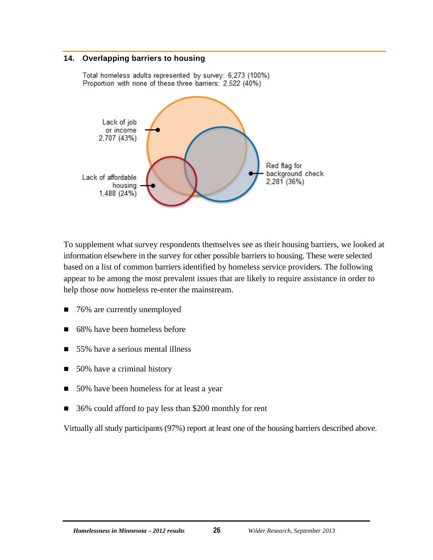#### <span id="page-32-0"></span>**14. Overlapping barriers to housing**



Total homeless adults represented by survey: 6,273 (100%) Proportion with none of these three barriers: 2,522 (40%)

To supplement what survey respondents themselves see as their housing barriers, we looked at information elsewhere in the survey for other possible barriers to housing. These were selected based on a list of common barriers identified by homeless service providers. The following appear to be among the most prevalent issues that are likely to require assistance in order to help those now homeless re-enter the mainstream.

- 76% are currently unemployed
- 68% have been homeless before
- 55% have a serious mental illness
- 50% have a criminal history
- 50% have been homeless for at least a year
- 36% could afford to pay less than \$200 monthly for rent

Virtually all study participants (97%) report at least one of the housing barriers described above.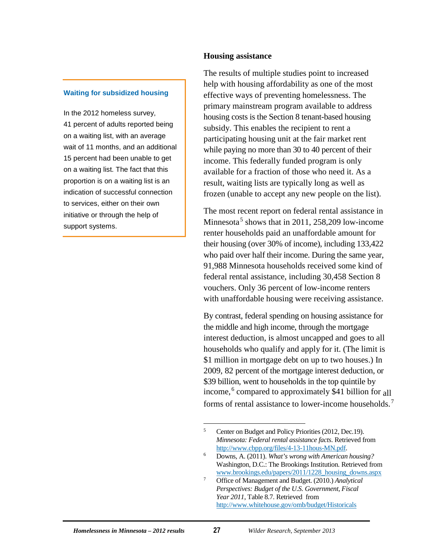#### **Waiting for subsidized housing**

In the 2012 homeless survey, 41 percent of adults reported being on a waiting list, with an average wait of 11 months, and an additional 15 percent had been unable to get on a waiting list. The fact that this proportion is on a waiting list is an indication of successful connection to services, either on their own initiative or through the help of support systems.

#### **Housing assistance**

The results of multiple studies point to increased help with housing affordability as one of the most effective ways of preventing homelessness. The primary mainstream program available to address housing costs is the Section 8 tenant-based housing subsidy. This enables the recipient to rent a participating housing unit at the fair market rent while paying no more than 30 to 40 percent of their income. This federally funded program is only available for a fraction of those who need it. As a result, waiting lists are typically long as well as frozen (unable to accept any new people on the list).

The most recent report on federal rental assistance in Minnesota<sup>[5](#page-33-0)</sup> shows that in 2011, 258,209 low-income renter households paid an unaffordable amount for their housing (over 30% of income), including 133,422 who paid over half their income. During the same year, 91,988 Minnesota households received some kind of federal rental assistance, including 30,458 Section 8 vouchers. Only 36 percent of low-income renters with unaffordable housing were receiving assistance.

By contrast, federal spending on housing assistance for the middle and high income, through the mortgage interest deduction, is almost uncapped and goes to all households who qualify and apply for it. (The limit is \$1 million in mortgage debt on up to two houses.) In 2009, 82 percent of the mortgage interest deduction, or \$39 billion, went to households in the top quintile by income,<sup>[6](#page-33-1)</sup> compared to approximately \$41 billion for all forms of rental assistance to lower-income households.<sup>[7](#page-33-2)</sup>

<span id="page-33-0"></span><sup>&</sup>lt;sup>5</sup> Center on Budget and Policy Priorities (2012, Dec.19). *Minnesota: Federal rental assistance facts*. Retrieved from [http://www.cbpp.org/files/4-13-11hous-MN.pdf.](http://www.cbpp.org/files/4-13-11hous-MN.pdf)

<span id="page-33-1"></span><sup>6</sup> Downs, A. (2011). *What's wrong with American housing?* Washington, D.C.: The Brookings Institution. Retrieved from [www.brookings.edu/papers/2011/1228\\_housing\\_downs.aspx](http://www.brookings.edu/papers/2011/1228_housing_downs.aspx)

<span id="page-33-2"></span><sup>7</sup> Office of Management and Budget. (2010.) *Analytical Perspectives: Budget of the U.S. Government, Fiscal Year 2011*, Table 8.7. Retrieved from <http://www.whitehouse.gov/omb/budget/Historicals>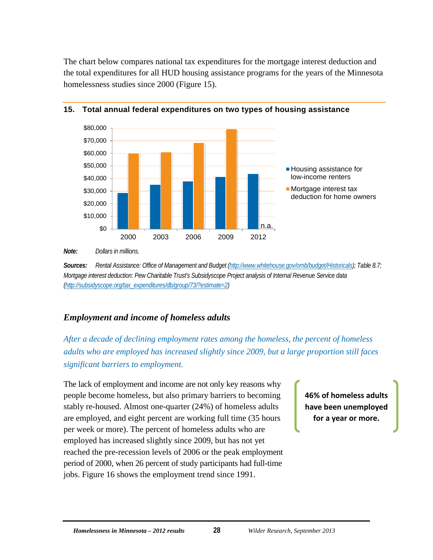The chart below compares national tax expenditures for the mortgage interest deduction and the total expenditures for all HUD housing assistance programs for the years of the Minnesota homelessness studies since 2000 (Figure 15).



#### <span id="page-34-1"></span>**15. Total annual federal expenditures on two types of housing assistance**

*Sources: Rental Assistance: Office of Management and Budget [\(http://www.whitehouse.gov/omb/budget/Historicals\);](http://www.whitehouse.gov/omb/budget/Historicals) Table 8.7; Mortgage interest deduction: Pew Charitable Trust's Subsidyscope Project analysis of Internal Revenue Service data [\(http://subsidyscope.org/tax\\_expenditures/db/group/73/?estimate=2\)](http://subsidyscope.org/tax_expenditures/db/group/73/?estimate=2)*

## <span id="page-34-0"></span>*Employment and income of homeless adults*

*After a decade of declining employment rates among the homeless, the percent of homeless adults who are employed has increased slightly since 2009, but a large proportion still faces significant barriers to employment.*

The lack of employment and income are not only key reasons why people become homeless, but also primary barriers to becoming stably re-housed. Almost one-quarter (24%) of homeless adults are employed, and eight percent are working full time (35 hours per week or more). The percent of homeless adults who are employed has increased slightly since 2009, but has not yet reached the pre-recession levels of 2006 or the peak employment period of 2000, when 26 percent of study participants had full-time jobs. Figure 16 shows the employment trend since 1991.

**46% of homeless adults have been unemployed for a year or more.**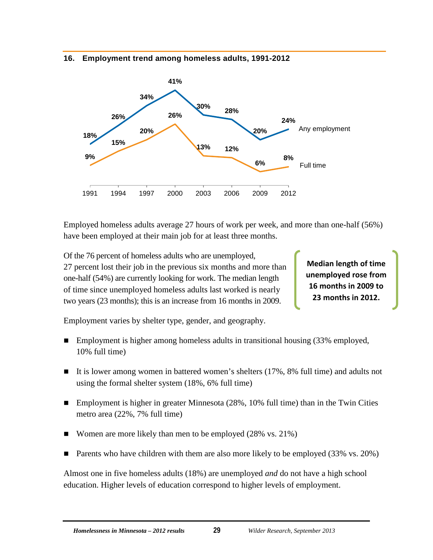#### <span id="page-35-0"></span>**16. Employment trend among homeless adults, 1991-2012**



Employed homeless adults average 27 hours of work per week, and more than one-half (56%) have been employed at their main job for at least three months.

Of the 76 percent of homeless adults who are unemployed, 27 percent lost their job in the previous six months and more than one-half (54%) are currently looking for work. The median length of time since unemployed homeless adults last worked is nearly two years (23 months); this is an increase from 16 months in 2009.

**Median length of time unemployed rose from 16 months in 2009 to 23 months in 2012.**

Employment varies by shelter type, gender, and geography.

- Employment is higher among homeless adults in transitional housing (33% employed, 10% full time)
- It is lower among women in battered women's shelters  $(17\%, 8\%)$  full time) and adults not using the formal shelter system (18%, 6% full time)
- Employment is higher in greater Minnesota (28%, 10% full time) than in the Twin Cities metro area (22%, 7% full time)
- Women are more likely than men to be employed (28% vs. 21%)
- **Parents who have children with them are also more likely to be employed (33% vs. 20%)**

Almost one in five homeless adults (18%) are unemployed *and* do not have a high school education. Higher levels of education correspond to higher levels of employment.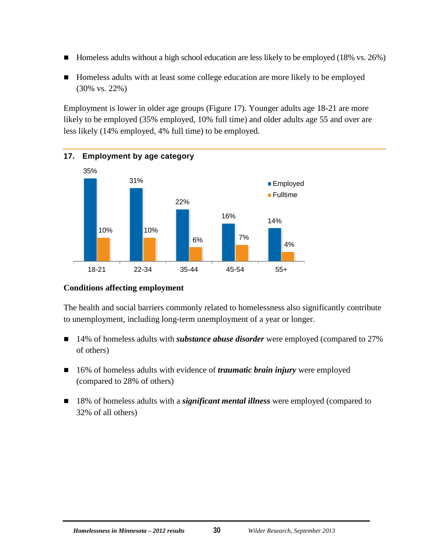- $\blacksquare$  Homeless adults without a high school education are less likely to be employed (18% vs. 26%)
- Homeless adults with at least some college education are more likely to be employed (30% vs. 22%)

Employment is lower in older age groups (Figure 17). Younger adults age 18-21 are more likely to be employed (35% employed, 10% full time) and older adults age 55 and over are less likely (14% employed, 4% full time) to be employed.

<span id="page-36-0"></span>

#### **Conditions affecting employment**

The health and social barriers commonly related to homelessness also significantly contribute to unemployment, including long-term unemployment of a year or longer.

- 14% of homeless adults with *substance abuse disorder* were employed (compared to 27% of others)
- 16% of homeless adults with evidence of *traumatic brain injury* were employed (compared to 28% of others)
- 18% of homeless adults with a *significant mental illness* were employed (compared to 32% of all others)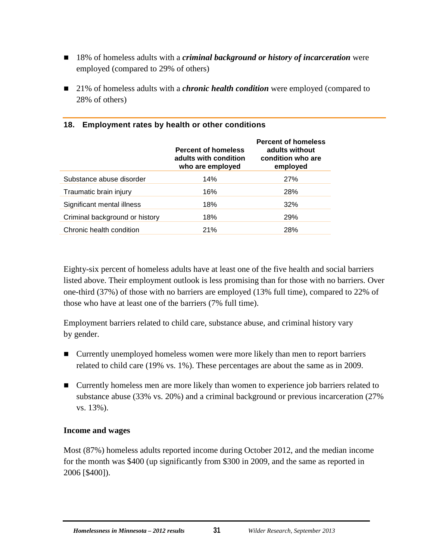- 18% of homeless adults with a *criminal background or history of incarceration* were employed (compared to 29% of others)
- 21% of homeless adults with a *chronic health condition* were employed (compared to 28% of others)

|                                | <b>Percent of homeless</b><br>adults with condition<br>who are employed | <b>Percent of homeless</b><br>adults without<br>condition who are<br>employed |
|--------------------------------|-------------------------------------------------------------------------|-------------------------------------------------------------------------------|
| Substance abuse disorder       | 14%                                                                     | <b>27%</b>                                                                    |
| Traumatic brain injury         | 16%                                                                     | 28%                                                                           |
| Significant mental illness     | 18%                                                                     | 32%                                                                           |
| Criminal background or history | 18%                                                                     | <b>29%</b>                                                                    |
| Chronic health condition       | 21%                                                                     | 28%                                                                           |

#### <span id="page-37-0"></span>**18. Employment rates by health or other conditions**

Eighty-six percent of homeless adults have at least one of the five health and social barriers listed above. Their employment outlook is less promising than for those with no barriers. Over one-third (37%) of those with no barriers are employed (13% full time), compared to 22% of those who have at least one of the barriers (7% full time).

Employment barriers related to child care, substance abuse, and criminal history vary by gender.

- Currently unemployed homeless women were more likely than men to report barriers related to child care (19% vs. 1%). These percentages are about the same as in 2009.
- **Example 1** Currently homeless men are more likely than women to experience job barriers related to substance abuse (33% vs. 20%) and a criminal background or previous incarceration (27% vs. 13%).

#### **Income and wages**

Most (87%) homeless adults reported income during October 2012, and the median income for the month was \$400 (up significantly from \$300 in 2009, and the same as reported in 2006 [\$400]).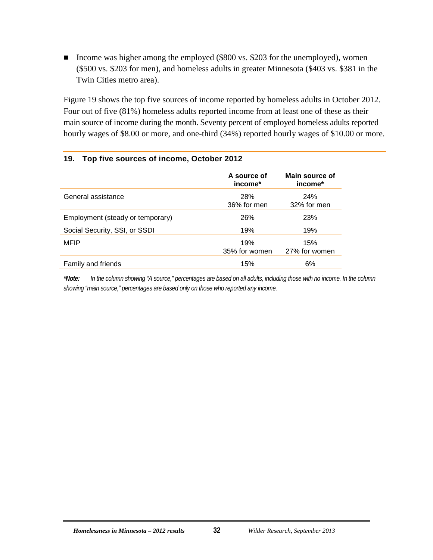■ Income was higher among the employed (\$800 vs. \$203 for the unemployed), women (\$500 vs. \$203 for men), and homeless adults in greater Minnesota (\$403 vs. \$381 in the Twin Cities metro area).

Figure 19 shows the top five sources of income reported by homeless adults in October 2012. Four out of five (81%) homeless adults reported income from at least one of these as their main source of income during the month. Seventy percent of employed homeless adults reported hourly wages of \$8.00 or more, and one-third (34%) reported hourly wages of \$10.00 or more.

#### <span id="page-38-0"></span>**19. Top five sources of income, October 2012**

|                                  | A source of<br>income*    | Main source of<br>income* |
|----------------------------------|---------------------------|---------------------------|
| General assistance               | <b>28%</b><br>36% for men | <b>24%</b><br>32% for men |
| Employment (steady or temporary) | 26%                       | 23%                       |
| Social Security, SSI, or SSDI    | 19%                       | 19%                       |
| <b>MFIP</b>                      | 19%<br>35% for women      | 15%<br>27% for women      |
| Family and friends               | 15%                       | 6%                        |

*\*Note: In the column showing "A source," percentages are based on all adults, including those with no income. In the column showing "main source," percentages are based only on those who reported any income.*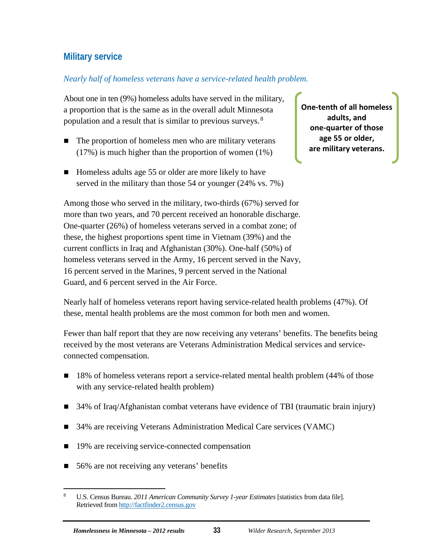## <span id="page-39-0"></span>**Military service**

#### *Nearly half of homeless veterans have a service-related health problem.*

About one in ten (9%) homeless adults have served in the military, a proportion that is the same as in the overall adult Minnesota population and a result that is similar to previous surveys.<sup>[8](#page-39-1)</sup>

- $\blacksquare$  The proportion of homeless men who are military veterans (17%) is much higher than the proportion of women (1%)
- Homeless adults age 55 or older are more likely to have served in the military than those 54 or younger (24% vs. 7%)

Among those who served in the military, two-thirds (67%) served for more than two years, and 70 percent received an honorable discharge. One-quarter (26%) of homeless veterans served in a combat zone; of these, the highest proportions spent time in Vietnam (39%) and the current conflicts in Iraq and Afghanistan (30%). One-half (50%) of homeless veterans served in the Army, 16 percent served in the Navy, 16 percent served in the Marines, 9 percent served in the National Guard, and 6 percent served in the Air Force.

**One-tenth of all homeless adults, and one-quarter of those age 55 or older, are military veterans.**

Nearly half of homeless veterans report having service-related health problems (47%). Of these, mental health problems are the most common for both men and women.

Fewer than half report that they are now receiving any veterans' benefits. The benefits being received by the most veterans are Veterans Administration Medical services and serviceconnected compensation.

- 18% of homeless veterans report a service-related mental health problem (44% of those with any service-related health problem)
- 34% of Iraq/Afghanistan combat veterans have evidence of TBI (traumatic brain injury)
- 34% are receiving Veterans Administration Medical Care services (VAMC)
- 19% are receiving service-connected compensation
- 56% are not receiving any veterans' benefits

<span id="page-39-1"></span> <sup>8</sup> U.S. Census Bureau. *2011 American Community Survey 1-year Estimates* [statistics from data file]. Retrieved fro[m http://factfinder2.census.gov](http://factfinder2.census.gov/)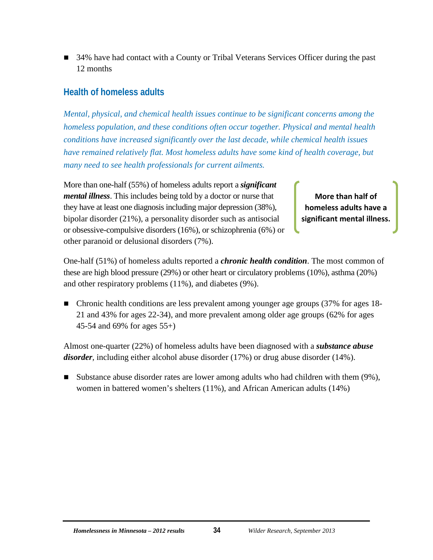■ 34% have had contact with a County or Tribal Veterans Services Officer during the past 12 months

## <span id="page-40-0"></span>**Health of homeless adults**

*Mental, physical, and chemical health issues continue to be significant concerns among the homeless population, and these conditions often occur together. Physical and mental health conditions have increased significantly over the last decade, while chemical health issues have remained relatively flat. Most homeless adults have some kind of health coverage, but many need to see health professionals for current ailments.*

More than one-half (55%) of homeless adults report a *significant mental illness*. This includes being told by a doctor or nurse that they have at least one diagnosis including major depression (38%), bipolar disorder (21%), a personality disorder such as antisocial or obsessive-compulsive disorders (16%), or schizophrenia (6%) or other paranoid or delusional disorders (7%).

**More than half of homeless adults have a significant mental illness.**

One-half (51%) of homeless adults reported a *chronic health condition*. The most common of these are high blood pressure (29%) or other heart or circulatory problems (10%), asthma (20%) and other respiratory problems (11%), and diabetes (9%).

 Chronic health conditions are less prevalent among younger age groups (37% for ages 18- 21 and 43% for ages 22-34), and more prevalent among older age groups (62% for ages 45-54 and 69% for ages 55+)

Almost one-quarter (22%) of homeless adults have been diagnosed with a *substance abuse disorder,* including either alcohol abuse disorder (17%) or drug abuse disorder (14%).

■ Substance abuse disorder rates are lower among adults who had children with them (9%), women in battered women's shelters (11%), and African American adults (14%)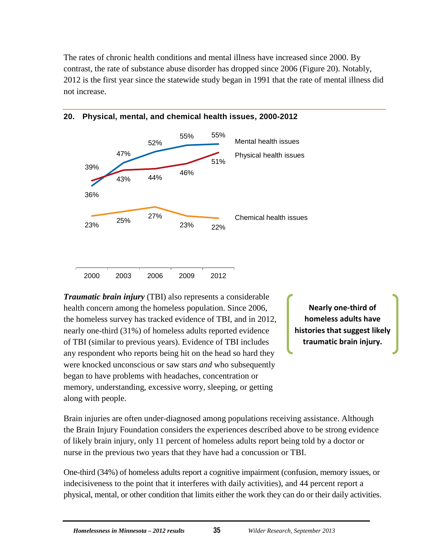The rates of chronic health conditions and mental illness have increased since 2000. By contrast, the rate of substance abuse disorder has dropped since 2006 (Figure 20). Notably, 2012 is the first year since the statewide study began in 1991 that the rate of mental illness did not increase.



#### <span id="page-41-0"></span>**20. Physical, mental, and chemical health issues, 2000-2012**

*Traumatic brain injury* (TBI) also represents a considerable health concern among the homeless population. Since 2006, the homeless survey has tracked evidence of TBI, and in 2012, nearly one-third (31%) of homeless adults reported evidence of TBI (similar to previous years). Evidence of TBI includes any respondent who reports being hit on the head so hard they were knocked unconscious or saw stars *and* who subsequently began to have problems with headaches, concentration or memory, understanding, excessive worry, sleeping, or getting along with people.

2000 2003 2006 2009 2012

**Nearly one-third of homeless adults have histories that suggest likely traumatic brain injury.**

Brain injuries are often under-diagnosed among populations receiving assistance. Although the Brain Injury Foundation considers the experiences described above to be strong evidence of likely brain injury, only 11 percent of homeless adults report being told by a doctor or nurse in the previous two years that they have had a concussion or TBI.

One-third (34%) of homeless adults report a cognitive impairment (confusion, memory issues, or indecisiveness to the point that it interferes with daily activities), and 44 percent report a physical, mental, or other condition that limits either the work they can do or their daily activities.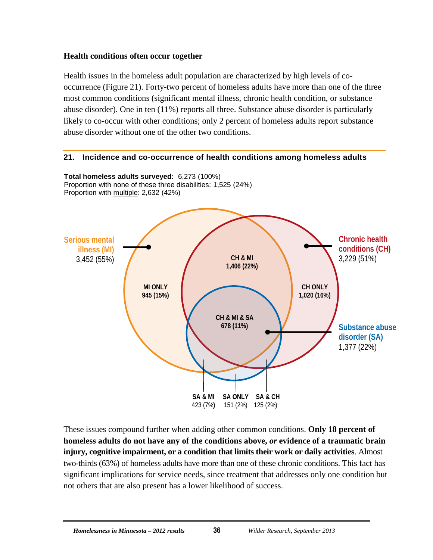#### **Health conditions often occur together**

Health issues in the homeless adult population are characterized by high levels of cooccurrence (Figure 21). Forty-two percent of homeless adults have more than one of the three most common conditions (significant mental illness, chronic health condition, or substance abuse disorder). One in ten (11%) reports all three. Substance abuse disorder is particularly likely to co-occur with other conditions; only 2 percent of homeless adults report substance abuse disorder without one of the other two conditions.

#### <span id="page-42-0"></span>**21. Incidence and co-occurrence of health conditions among homeless adults**



These issues compound further when adding other common conditions. **Only 18 percent of homeless adults do not have any of the conditions above,** *or* **evidence of a traumatic brain injury, cognitive impairment, or a condition that limits their work or daily activities**. Almost two-thirds (63%) of homeless adults have more than one of these chronic conditions. This fact has significant implications for service needs, since treatment that addresses only one condition but not others that are also present has a lower likelihood of success.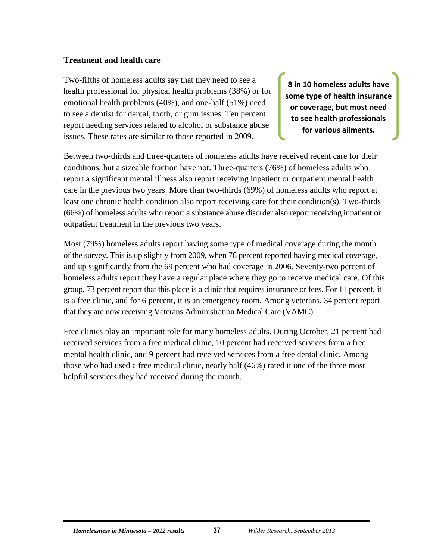#### **Treatment and health care**

Two-fifths of homeless adults say that they need to see a health professional for physical health problems (38%) or for emotional health problems (40%), and one-half (51%) need to see a dentist for dental, tooth, or gum issues. Ten percent report needing services related to alcohol or substance abuse issues. These rates are similar to those reported in 2009.

**8 in 10 homeless adults have some type of health insurance or coverage, but most need to see health professionals for various ailments.**

Between two-thirds and three-quarters of homeless adults have received recent care for their conditions, but a sizeable fraction have not. Three-quarters (76%) of homeless adults who report a significant mental illness also report receiving inpatient or outpatient mental health care in the previous two years. More than two-thirds (69%) of homeless adults who report at least one chronic health condition also report receiving care for their condition(s). Two-thirds (66%) of homeless adults who report a substance abuse disorder also report receiving inpatient or outpatient treatment in the previous two years.

Most (79%) homeless adults report having some type of medical coverage during the month of the survey. This is up slightly from 2009, when 76 percent reported having medical coverage, and up significantly from the 69 percent who had coverage in 2006. Seventy-two percent of homeless adults report they have a regular place where they go to receive medical care. Of this group, 73 percent report that this place is a clinic that requires insurance or fees. For 11 percent, it is a free clinic, and for 6 percent, it is an emergency room. Among veterans, 34 percent report that they are now receiving Veterans Administration Medical Care (VAMC).

Free clinics play an important role for many homeless adults. During October, 21 percent had received services from a free medical clinic, 10 percent had received services from a free mental health clinic, and 9 percent had received services from a free dental clinic. Among those who had used a free medical clinic, nearly half (46%) rated it one of the three most helpful services they had received during the month.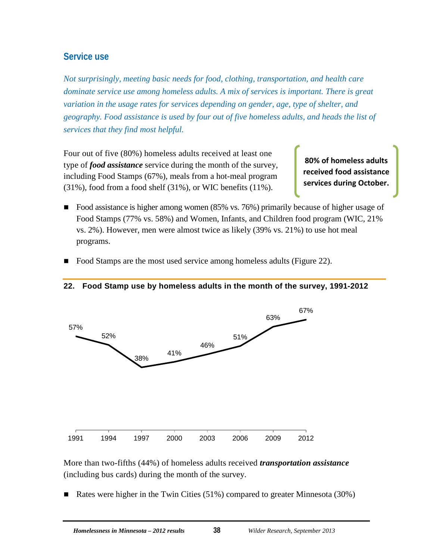## <span id="page-44-0"></span>**Service use**

*Not surprisingly, meeting basic needs for food, clothing, transportation, and health care dominate service use among homeless adults. A mix of services is important. There is great variation in the usage rates for services depending on gender, age, type of shelter, and geography. Food assistance is used by four out of five homeless adults, and heads the list of services that they find most helpful.*

Four out of five (80%) homeless adults received at least one type of *food assistance* service during the month of the survey, including Food Stamps (67%), meals from a hot-meal program  $(31\%)$ , food from a food shelf  $(31\%)$ , or WIC benefits  $(11\%)$ .

**80% of homeless adults received food assistance services during October.**

- Food assistance is higher among women (85% vs. 76%) primarily because of higher usage of Food Stamps (77% vs. 58%) and Women, Infants, and Children food program (WIC, 21% vs. 2%). However, men were almost twice as likely (39% vs. 21%) to use hot meal programs.
- Food Stamps are the most used service among homeless adults (Figure 22).



#### <span id="page-44-1"></span>**22. Food Stamp use by homeless adults in the month of the survey, 1991-2012**

More than two-fifths (44%) of homeless adults received *transportation assistance* (including bus cards) during the month of the survey.

Rates were higher in the Twin Cities (51%) compared to greater Minnesota (30%)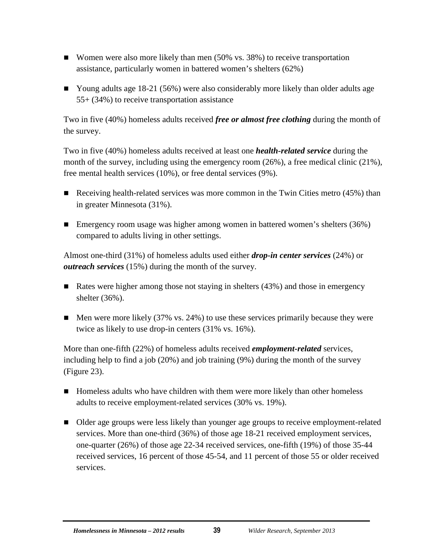- Women were also more likely than men (50% vs. 38%) to receive transportation assistance, particularly women in battered women's shelters (62%)
- Young adults age 18-21 (56%) were also considerably more likely than older adults age 55+ (34%) to receive transportation assistance

Two in five (40%) homeless adults received *free or almost free clothing* during the month of the survey.

Two in five (40%) homeless adults received at least one *health-related service* during the month of the survey, including using the emergency room (26%), a free medical clinic (21%), free mental health services (10%), or free dental services (9%).

- Receiving health-related services was more common in the Twin Cities metro  $(45%)$  than in greater Minnesota (31%).
- Emergency room usage was higher among women in battered women's shelters (36%) compared to adults living in other settings.

Almost one-third (31%) of homeless adults used either *drop-in center services* (24%) or *outreach services* (15%) during the month of the survey.

- Rates were higher among those not staying in shelters  $(43%)$  and those in emergency shelter (36%).
- $\blacksquare$  Men were more likely (37% vs. 24%) to use these services primarily because they were twice as likely to use drop-in centers (31% vs. 16%).

More than one-fifth (22%) of homeless adults received *employment-related* services, including help to find a job (20%) and job training (9%) during the month of the survey (Figure 23).

- **Homeless adults who have children with them were more likely than other homeless** adults to receive employment-related services (30% vs. 19%).
- Older age groups were less likely than younger age groups to receive employment-related services. More than one-third (36%) of those age 18-21 received employment services, one-quarter (26%) of those age 22-34 received services, one-fifth (19%) of those 35-44 received services, 16 percent of those 45-54, and 11 percent of those 55 or older received services.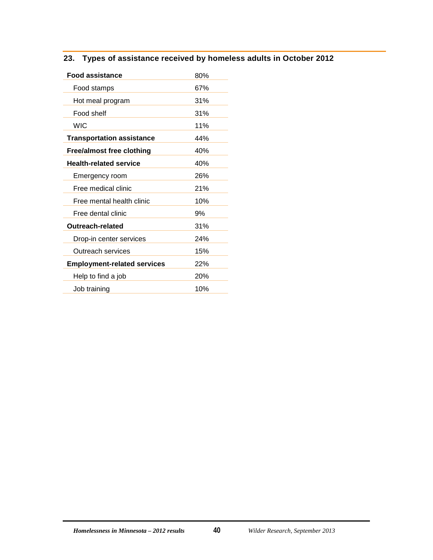### <span id="page-46-0"></span>**23. Types of assistance received by homeless adults in October 2012**

| <b>Food assistance</b>             | 80% |
|------------------------------------|-----|
| Food stamps                        | 67% |
| Hot meal program                   | 31% |
| Food shelf                         | 31% |
| <b>WIC</b>                         | 11% |
| <b>Transportation assistance</b>   | 44% |
| <b>Free/almost free clothing</b>   | 40% |
| <b>Health-related service</b>      | 40% |
| Emergency room                     | 26% |
| Free medical clinic                | 21% |
| Free mental health clinic          | 10% |
| Free dental clinic                 | 9%  |
| Outreach-related                   | 31% |
| Drop-in center services            | 24% |
| Outreach services                  | 15% |
| <b>Employment-related services</b> | 22% |
| Help to find a job                 | 20% |
| Job training                       | 10% |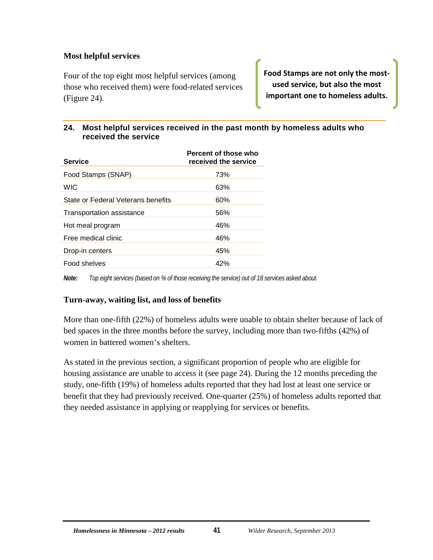#### **Most helpful services**

Four of the top eight most helpful services (among those who received them) were food-related services (Figure 24).

**Food Stamps are not only the mostused service, but also the most important one to homeless adults.**

#### <span id="page-47-0"></span>**24. Most helpful services received in the past month by homeless adults who received the service**

| <b>Service</b>                     | Percent of those who<br>received the service |
|------------------------------------|----------------------------------------------|
| Food Stamps (SNAP)                 | 73%                                          |
| <b>WIC</b>                         | 63%                                          |
| State or Federal Veterans benefits | 60%                                          |
| Transportation assistance          | 56%                                          |
| Hot meal program                   | 46%                                          |
| Free medical clinic                | 46%                                          |
| Drop-in centers                    | 45%                                          |
| Food shelves                       | 42%                                          |
|                                    |                                              |

*Note: Top eight services (based on % of those receiving the service) out of 18 services asked about.* 

#### **Turn-away, waiting list, and loss of benefits**

More than one-fifth (22%) of homeless adults were unable to obtain shelter because of lack of bed spaces in the three months before the survey, including more than two-fifths (42%) of women in battered women's shelters.

As stated in the previous section, a significant proportion of people who are eligible for housing assistance are unable to access it (see page 24). During the 12 months preceding the study, one-fifth (19%) of homeless adults reported that they had lost at least one service or benefit that they had previously received. One-quarter (25%) of homeless adults reported that they needed assistance in applying or reapplying for services or benefits.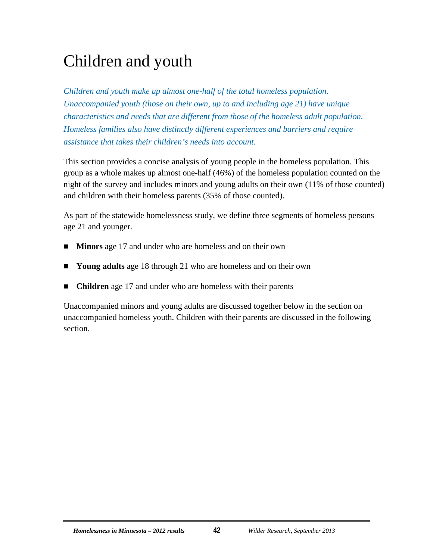## <span id="page-48-0"></span>Children and youth

*Children and youth make up almost one-half of the total homeless population. Unaccompanied youth (those on their own, up to and including age 21) have unique characteristics and needs that are different from those of the homeless adult population. Homeless families also have distinctly different experiences and barriers and require assistance that takes their children's needs into account.*

This section provides a concise analysis of young people in the homeless population. This group as a whole makes up almost one-half (46%) of the homeless population counted on the night of the survey and includes minors and young adults on their own (11% of those counted) and children with their homeless parents (35% of those counted).

As part of the statewide homelessness study, we define three segments of homeless persons age 21 and younger.

- **Minors** age 17 and under who are homeless and on their own
- Young adults age 18 through 21 who are homeless and on their own
- **Children** age 17 and under who are homeless with their parents

Unaccompanied minors and young adults are discussed together below in the section on unaccompanied homeless youth. Children with their parents are discussed in the following section.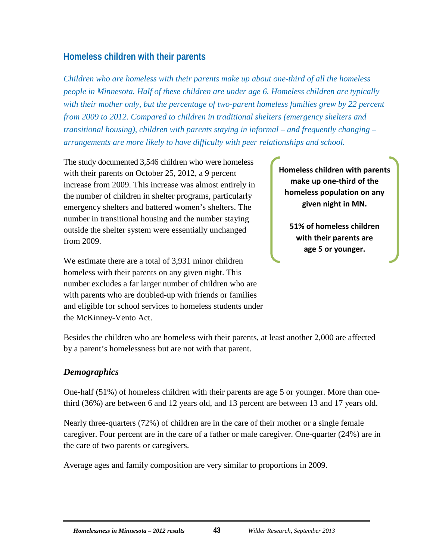## <span id="page-49-0"></span>**Homeless children with their parents**

*Children who are homeless with their parents make up about one-third of all the homeless people in Minnesota. Half of these children are under age 6. Homeless children are typically with their mother only, but the percentage of two-parent homeless families grew by 22 percent from 2009 to 2012. Compared to children in traditional shelters (emergency shelters and transitional housing), children with parents staying in informal – and frequently changing – arrangements are more likely to have difficulty with peer relationships and school.*

The study documented 3,546 children who were homeless with their parents on October 25, 2012, a 9 percent increase from 2009. This increase was almost entirely in the number of children in shelter programs, particularly emergency shelters and battered women's shelters. The number in transitional housing and the number staying outside the shelter system were essentially unchanged from 2009.

We estimate there are a total of 3,931 minor children homeless with their parents on any given night. This number excludes a far larger number of children who are with parents who are doubled-up with friends or families and eligible for school services to homeless students under the McKinney-Vento Act.

**Homeless children with parents make up one-third of the homeless population on any given night in MN.**

**51% of homeless children with their parents are age 5 or younger.**

Besides the children who are homeless with their parents, at least another 2,000 are affected by a parent's homelessness but are not with that parent.

## <span id="page-49-1"></span>*Demographics*

One-half (51%) of homeless children with their parents are age 5 or younger. More than onethird (36%) are between 6 and 12 years old, and 13 percent are between 13 and 17 years old.

Nearly three-quarters (72%) of children are in the care of their mother or a single female caregiver. Four percent are in the care of a father or male caregiver. One-quarter (24%) are in the care of two parents or caregivers.

Average ages and family composition are very similar to proportions in 2009.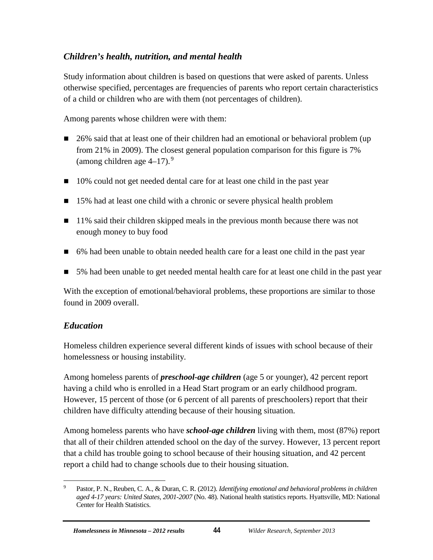## <span id="page-50-0"></span>*Children's health, nutrition, and mental health*

Study information about children is based on questions that were asked of parents. Unless otherwise specified, percentages are frequencies of parents who report certain characteristics of a child or children who are with them (not percentages of children).

Among parents whose children were with them:

- 26% said that at least one of their children had an emotional or behavioral problem (up from 21% in 2009). The closest general population comparison for this figure is 7% (among children age  $4-17$ ).<sup>[9](#page-50-2)</sup>
- 10% could not get needed dental care for at least one child in the past year
- 15% had at least one child with a chronic or severe physical health problem
- 11% said their children skipped meals in the previous month because there was not enough money to buy food
- 6% had been unable to obtain needed health care for a least one child in the past year
- 5% had been unable to get needed mental health care for at least one child in the past year

With the exception of emotional/behavioral problems, these proportions are similar to those found in 2009 overall.

## <span id="page-50-1"></span>*Education*

Homeless children experience several different kinds of issues with school because of their homelessness or housing instability.

Among homeless parents of *preschool-age children* (age 5 or younger), 42 percent report having a child who is enrolled in a Head Start program or an early childhood program. However, 15 percent of those (or 6 percent of all parents of preschoolers) report that their children have difficulty attending because of their housing situation.

Among homeless parents who have *school-age children* living with them, most (87%) report that all of their children attended school on the day of the survey. However, 13 percent report that a child has trouble going to school because of their housing situation, and 42 percent report a child had to change schools due to their housing situation.

<span id="page-50-2"></span> <sup>9</sup> Pastor, P. N., Reuben, C. A., & Duran, C. R. (2012). *Identifying emotional and behavioral problems in children aged 4-17 years: United States, 2001-2007* (No. 48). National health statistics reports. Hyattsville, MD: National Center for Health Statistics.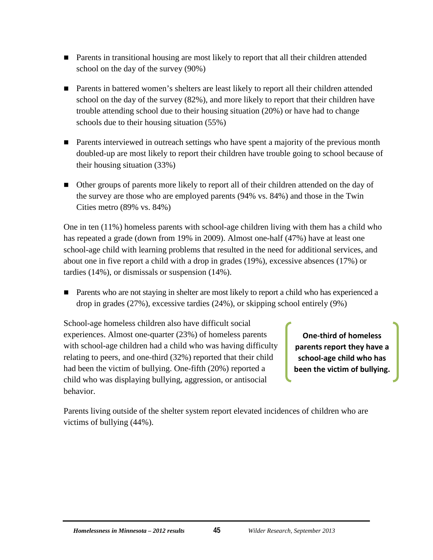- Parents in transitional housing are most likely to report that all their children attended school on the day of the survey (90%)
- Parents in battered women's shelters are least likely to report all their children attended school on the day of the survey (82%), and more likely to report that their children have trouble attending school due to their housing situation (20%) or have had to change schools due to their housing situation (55%)
- **Parents interviewed in outreach settings who have spent a majority of the previous month** doubled-up are most likely to report their children have trouble going to school because of their housing situation (33%)
- Other groups of parents more likely to report all of their children attended on the day of the survey are those who are employed parents (94% vs. 84%) and those in the Twin Cities metro (89% vs. 84%)

One in ten (11%) homeless parents with school-age children living with them has a child who has repeated a grade (down from 19% in 2009). Almost one-half (47%) have at least one school-age child with learning problems that resulted in the need for additional services, and about one in five report a child with a drop in grades (19%), excessive absences (17%) or tardies (14%), or dismissals or suspension (14%).

**Parents who are not staying in shelter are most likely to report a child who has experienced a** drop in grades (27%), excessive tardies (24%), or skipping school entirely (9%)

School-age homeless children also have difficult social experiences. Almost one-quarter (23%) of homeless parents with school-age children had a child who was having difficulty relating to peers, and one-third (32%) reported that their child had been the victim of bullying. One-fifth (20%) reported a child who was displaying bullying, aggression, or antisocial behavior.

**One-third of homeless parents report they have a school-age child who has been the victim of bullying.**

Parents living outside of the shelter system report elevated incidences of children who are victims of bullying (44%).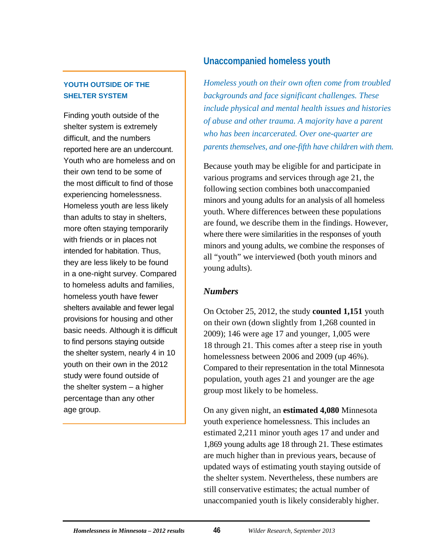#### **YOUTH OUTSIDE OF THE SHELTER SYSTEM**

Finding youth outside of the shelter system is extremely difficult, and the numbers reported here are an undercount. Youth who are homeless and on their own tend to be some of the most difficult to find of those experiencing homelessness. Homeless youth are less likely than adults to stay in shelters, more often staying temporarily with friends or in places not intended for habitation. Thus, they are less likely to be found in a one-night survey. Compared to homeless adults and families, homeless youth have fewer shelters available and fewer legal provisions for housing and other basic needs. Although it is difficult to find persons staying outside the shelter system, nearly 4 in 10 youth on their own in the 2012 study were found outside of the shelter system – a higher percentage than any other age group.

## <span id="page-52-0"></span>**Unaccompanied homeless youth**

*Homeless youth on their own often come from troubled backgrounds and face significant challenges. These include physical and mental health issues and histories of abuse and other trauma. A majority have a parent who has been incarcerated. Over one-quarter are parents themselves, and one-fifth have children with them.*

Because youth may be eligible for and participate in various programs and services through age 21, the following section combines both unaccompanied minors and young adults for an analysis of all homeless youth. Where differences between these populations are found, we describe them in the findings. However, where there were similarities in the responses of youth minors and young adults, we combine the responses of all "youth" we interviewed (both youth minors and young adults).

## <span id="page-52-1"></span>*Numbers*

On October 25, 2012, the study **counted 1,151** youth on their own (down slightly from 1,268 counted in 2009); 146 were age 17 and younger, 1,005 were 18 through 21. This comes after a steep rise in youth homelessness between 2006 and 2009 (up 46%). Compared to their representation in the total Minnesota population, youth ages 21 and younger are the age group most likely to be homeless.

On any given night, an **estimated 4,080** Minnesota youth experience homelessness. This includes an estimated 2,211 minor youth ages 17 and under and 1,869 young adults age 18 through 21. These estimates are much higher than in previous years, because of updated ways of estimating youth staying outside of the shelter system. Nevertheless, these numbers are still conservative estimates; the actual number of unaccompanied youth is likely considerably higher.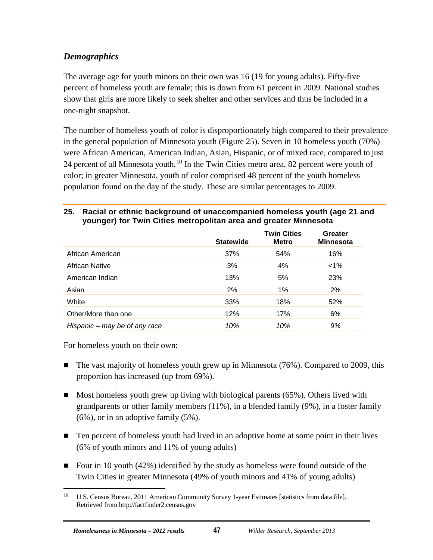## <span id="page-53-0"></span>*Demographics*

The average age for youth minors on their own was 16 (19 for young adults). Fifty-five percent of homeless youth are female; this is down from 61 percent in 2009. National studies show that girls are more likely to seek shelter and other services and thus be included in a one-night snapshot.

The number of homeless youth of color is disproportionately high compared to their prevalence in the general population of Minnesota youth (Figure 25). Seven in 10 homeless youth (70%) were African American, American Indian, Asian, Hispanic, or of mixed race, compared to just 24 percent of all Minnesota youth.<sup>[10](#page-53-2)</sup> In the Twin Cities metro area, 82 percent were youth of color; in greater Minnesota, youth of color comprised 48 percent of the youth homeless population found on the day of the study. These are similar percentages to 2009.

#### <span id="page-53-1"></span>**25. Racial or ethnic background of unaccompanied homeless youth (age 21 and younger) for Twin Cities metropolitan area and greater Minnesota**

|                               | <b>Statewide</b> | <b>Twin Cities</b><br><b>Metro</b> | Greater<br><b>Minnesota</b> |
|-------------------------------|------------------|------------------------------------|-----------------------------|
| African American              | 37%              | 54%                                | 16%                         |
| African Native                | 3%               | 4%                                 | $< 1\%$                     |
| American Indian               | 13%              | 5%                                 | 23%                         |
| Asian                         | 2%               | 1%                                 | 2%                          |
| White                         | 33%              | 18%                                | 52%                         |
| Other/More than one           | 12%              | 17%                                | 6%                          |
| Hispanic – may be of any race | 10%              | 10%                                | 9%                          |

For homeless youth on their own:

- $\blacksquare$  The vast majority of homeless youth grew up in Minnesota (76%). Compared to 2009, this proportion has increased (up from 69%).
- $\blacksquare$  Most homeless youth grew up living with biological parents (65%). Others lived with grandparents or other family members (11%), in a blended family (9%), in a foster family (6%), or in an adoptive family (5%).
- Ten percent of homeless youth had lived in an adoptive home at some point in their lives (6% of youth minors and 11% of young adults)
- Four in 10 youth  $(42%)$  identified by the study as homeless were found outside of the Twin Cities in greater Minnesota (49% of youth minors and 41% of young adults)

<span id="page-53-2"></span><sup>&</sup>lt;sup>10</sup> U.S. Census Bureau. 2011 American Community Survey 1-year Estimates [statistics from data file]. Retrieved fro[m http://factfinder2.census.gov](http://factfinder2.census.gov/)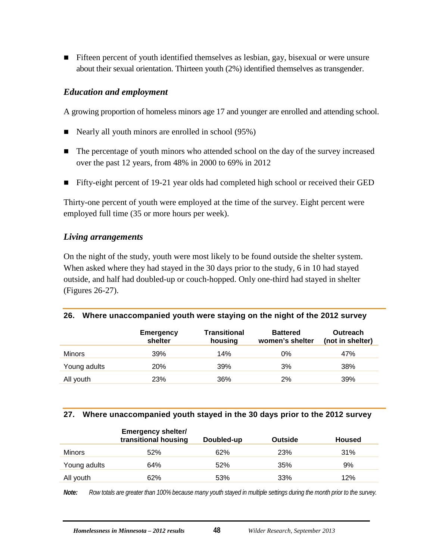**Fifteen percent of youth identified themselves as lesbian, gay, bisexual or were unsure** about their sexual orientation. Thirteen youth (2%) identified themselves as transgender.

#### <span id="page-54-0"></span>*Education and employment*

A growing proportion of homeless minors age 17 and younger are enrolled and attending school.

- Nearly all youth minors are enrolled in school (95%)
- The percentage of youth minors who attended school on the day of the survey increased over the past 12 years, from 48% in 2000 to 69% in 2012
- Fifty-eight percent of 19-21 year olds had completed high school or received their GED

Thirty-one percent of youth were employed at the time of the survey. Eight percent were employed full time (35 or more hours per week).

#### <span id="page-54-1"></span>*Living arrangements*

On the night of the study, youth were most likely to be found outside the shelter system. When asked where they had stayed in the 30 days prior to the study, 6 in 10 had stayed outside, and half had doubled-up or couch-hopped. Only one-third had stayed in shelter (Figures 26-27).

<span id="page-54-2"></span>

|  | 26. Where unaccompanied youth were staying on the night of the 2012 survey |  |  |  |  |
|--|----------------------------------------------------------------------------|--|--|--|--|
|--|----------------------------------------------------------------------------|--|--|--|--|

|               | <b>Emergency</b><br>shelter | <b>Transitional</b><br>housing | <b>Battered</b><br>women's shelter | Outreach<br>(not in shelter) |
|---------------|-----------------------------|--------------------------------|------------------------------------|------------------------------|
| <b>Minors</b> | 39%                         | 14%                            | $0\%$                              | 47%                          |
| Young adults  | <b>20%</b>                  | 39%                            | 3%                                 | 38%                          |
| All youth     | 23%                         | 36%                            | 2%                                 | 39%                          |

#### <span id="page-54-3"></span>**27. Where unaccompanied youth stayed in the 30 days prior to the 2012 survey**

|               | <b>Emergency shelter/</b><br>transitional housing | Doubled-up | Outside | <b>Housed</b> |
|---------------|---------------------------------------------------|------------|---------|---------------|
| <b>Minors</b> | 52%                                               | 62%        | 23%     | 31%           |
| Young adults  | 64%                                               | 52%        | 35%     | 9%            |
| All youth     | 62%                                               | 53%        | 33%     | 12%           |

*Note: Row totals are greater than 100% because many youth stayed in multiple settings during the month prior to the survey.*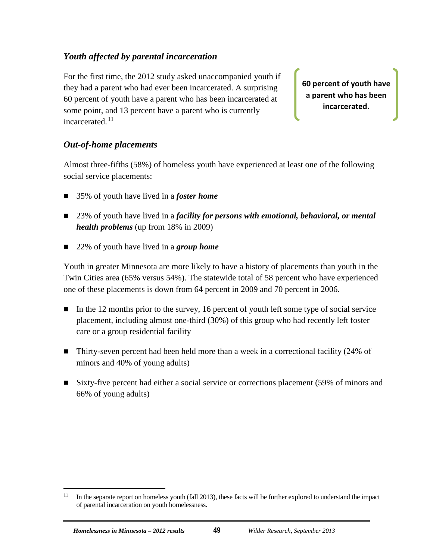### <span id="page-55-0"></span>*Youth affected by parental incarceration*

For the first time, the 2012 study asked unaccompanied youth if they had a parent who had ever been incarcerated. A surprising 60 percent of youth have a parent who has been incarcerated at some point, and 13 percent have a parent who is currently incarcerated.<sup>[11](#page-55-2)</sup>

**60 percent of youth have a parent who has been incarcerated.**

#### <span id="page-55-1"></span>*Out-of-home placements*

Almost three-fifths (58%) of homeless youth have experienced at least one of the following social service placements:

- 35% of youth have lived in a *foster home*
- 23% of youth have lived in a *facility for persons with emotional, behavioral, or mental health problems* (up from 18% in 2009)
- 22% of youth have lived in a *group home*

Youth in greater Minnesota are more likely to have a history of placements than youth in the Twin Cities area (65% versus 54%). The statewide total of 58 percent who have experienced one of these placements is down from 64 percent in 2009 and 70 percent in 2006.

- In the 12 months prior to the survey, 16 percent of youth left some type of social service placement, including almost one-third (30%) of this group who had recently left foster care or a group residential facility
- Thirty-seven percent had been held more than a week in a correctional facility (24% of minors and 40% of young adults)
- Sixty-five percent had either a social service or corrections placement (59% of minors and 66% of young adults)

<span id="page-55-2"></span> $11$  In the separate report on homeless youth (fall 2013), these facts will be further explored to understand the impact of parental incarceration on youth homelessness.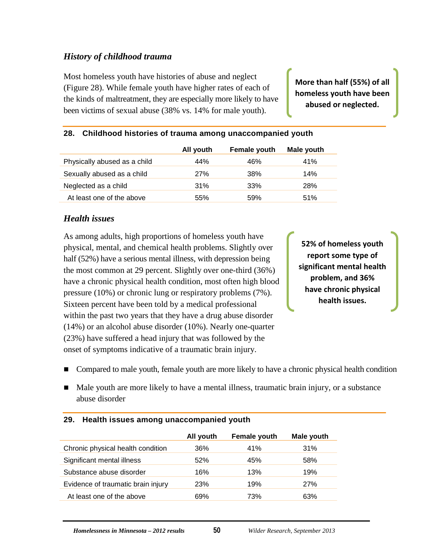### <span id="page-56-0"></span>*History of childhood trauma*

Most homeless youth have histories of abuse and neglect (Figure 28). While female youth have higher rates of each of the kinds of maltreatment, they are especially more likely to have been victims of sexual abuse (38% vs. 14% for male youth).

**More than half (55%) of all homeless youth have been abused or neglected.**

|                              | All youth  | <b>Female youth</b> | Male youth |
|------------------------------|------------|---------------------|------------|
| Physically abused as a child | 44%        | 46%                 | 41%        |
| Sexually abused as a child   | <b>27%</b> | 38%                 | 14%        |
| Neglected as a child         | 31%        | 33%                 | 28%        |
| At least one of the above    | 55%        | 59%                 | 51%        |

#### <span id="page-56-2"></span>**28. Childhood histories of trauma among unaccompanied youth**

#### <span id="page-56-1"></span>*Health issues*

As among adults, high proportions of homeless youth have physical, mental, and chemical health problems. Slightly over half (52%) have a serious mental illness, with depression being the most common at 29 percent. Slightly over one-third (36%) have a chronic physical health condition, most often high blood pressure (10%) or chronic lung or respiratory problems (7%). Sixteen percent have been told by a medical professional within the past two years that they have a drug abuse disorder (14%) or an alcohol abuse disorder (10%). Nearly one-quarter (23%) have suffered a head injury that was followed by the onset of symptoms indicative of a traumatic brain injury.

**52% of homeless youth report some type of significant mental health problem, and 36% have chronic physical health issues.**

- Compared to male youth, female youth are more likely to have a chronic physical health condition
- Male youth are more likely to have a mental illness, traumatic brain injury, or a substance abuse disorder

|                                    | All youth | Female youth | Male youth |  |  |
|------------------------------------|-----------|--------------|------------|--|--|
| Chronic physical health condition  | 36%       | 41%          | 31%        |  |  |
| Significant mental illness         | 52%       | 45%          | 58%        |  |  |
| Substance abuse disorder           | 16%       | 13%          | 19%        |  |  |
| Evidence of traumatic brain injury | 23%       | 19%          | 27%        |  |  |
| At least one of the above          | 69%       | 73%          | 63%        |  |  |

#### <span id="page-56-3"></span>**29. Health issues among unaccompanied youth**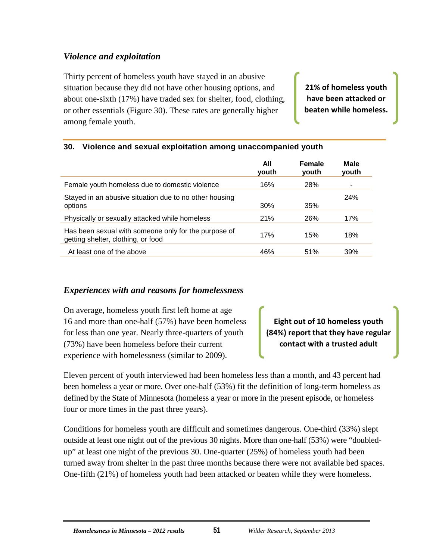## <span id="page-57-0"></span>*Violence and exploitation*

Thirty percent of homeless youth have stayed in an abusive situation because they did not have other housing options, and about one-sixth (17%) have traded sex for shelter, food, clothing, or other essentials (Figure 30). These rates are generally higher among female youth.

**21% of homeless youth have been attacked or beaten while homeless.**

#### <span id="page-57-2"></span>**30. Violence and sexual exploitation among unaccompanied youth**

|                                                                                            | All<br>vouth | <b>Female</b><br>youth | Male<br>youth |
|--------------------------------------------------------------------------------------------|--------------|------------------------|---------------|
| Female youth homeless due to domestic violence                                             | 16%          | 28%                    |               |
| Stayed in an abusive situation due to no other housing<br>options                          | 30%          | 35%                    | <b>24%</b>    |
| Physically or sexually attacked while homeless                                             | 21%          | 26%                    | 17%           |
| Has been sexual with someone only for the purpose of<br>getting shelter, clothing, or food | 17%          | 15%                    | 18%           |
| At least one of the above                                                                  | 46%          | 51%                    | 39%           |

#### <span id="page-57-1"></span>*Experiences with and reasons for homelessness*

On average, homeless youth first left home at age 16 and more than one-half (57%) have been homeless for less than one year. Nearly three-quarters of youth (73%) have been homeless before their current experience with homelessness (similar to 2009).

**Eight out of 10 homeless youth (84%) report that they have regular contact with a trusted adult**

Eleven percent of youth interviewed had been homeless less than a month, and 43 percent had been homeless a year or more. Over one-half (53%) fit the definition of long-term homeless as defined by the State of Minnesota (homeless a year or more in the present episode, or homeless four or more times in the past three years).

Conditions for homeless youth are difficult and sometimes dangerous. One-third (33%) slept outside at least one night out of the previous 30 nights. More than one-half (53%) were "doubledup" at least one night of the previous 30. One-quarter (25%) of homeless youth had been turned away from shelter in the past three months because there were not available bed spaces. One-fifth (21%) of homeless youth had been attacked or beaten while they were homeless.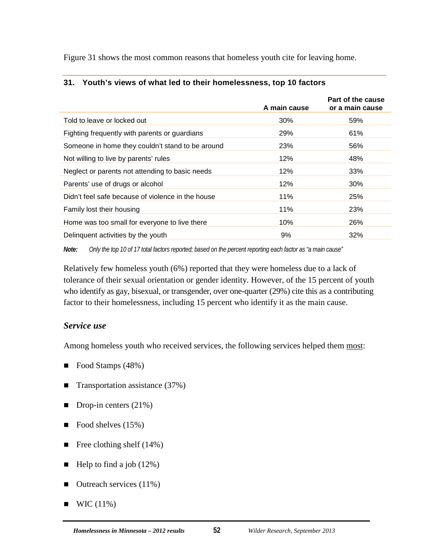Figure 31 shows the most common reasons that homeless youth cite for leaving home.

|                                                   | A main cause | Part of the cause<br>or a main cause |
|---------------------------------------------------|--------------|--------------------------------------|
| Told to leave or locked out                       | 30%          | 59%                                  |
| Fighting frequently with parents or guardians     | 29%          | 61%                                  |
| Someone in home they couldn't stand to be around  | 23%          | 56%                                  |
| Not willing to live by parents' rules             | 12%          | 48%                                  |
| Neglect or parents not attending to basic needs   | 12%          | 33%                                  |
| Parents' use of drugs or alcohol                  | 12%          | $30\%$                               |
| Didn't feel safe because of violence in the house | 11%          | 25%                                  |
| Family lost their housing                         | 11%          | 23%                                  |
| Home was too small for everyone to live there     | 10%          | 26%                                  |
| Delinquent activities by the youth                | 9%           | 32%                                  |

#### <span id="page-58-1"></span>**31. Youth's views of what led to their homelessness, top 10 factors**

*Note: Only the top 10 of 17 total factors reported; based on the percent reporting each factor as "a main cause"*

Relatively few homeless youth (6%) reported that they were homeless due to a lack of tolerance of their sexual orientation or gender identity. However, of the 15 percent of youth who identify as gay, bisexual, or transgender, over one-quarter (29%) cite this as a contributing factor to their homelessness, including 15 percent who identify it as the main cause.

#### <span id="page-58-0"></span>*Service use*

Among homeless youth who received services, the following services helped them most:

- Food Stamps (48%)
- **Transportation assistance (37%)**
- $\blacksquare$  Drop-in centers (21%)
- Food shelves  $(15%)$
- Free clothing shelf  $(14\%)$
- $\blacksquare$  Help to find a job (12%)
- $\blacksquare$  Outreach services (11%)
- $\blacksquare$  WIC (11%)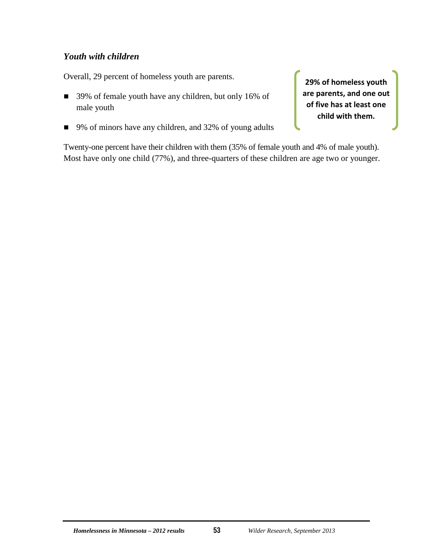### <span id="page-59-0"></span>*Youth with children*

Overall, 29 percent of homeless youth are parents.

- 39% of female youth have any children, but only 16% of male youth
- 9% of minors have any children, and 32% of young adults

**29% of homeless youth are parents, and one out of five has at least one child with them.**

Twenty-one percent have their children with them (35% of female youth and 4% of male youth). Most have only one child (77%), and three-quarters of these children are age two or younger.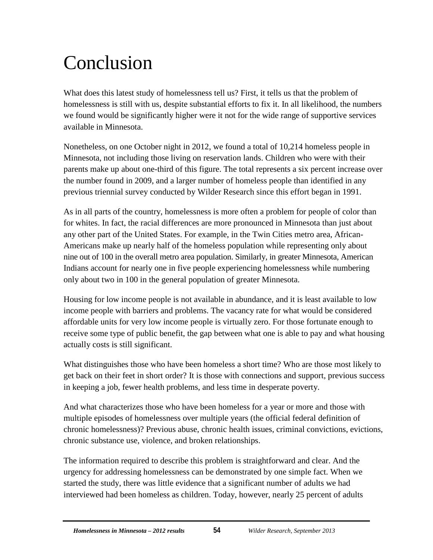## <span id="page-60-0"></span>Conclusion

What does this latest study of homelessness tell us? First, it tells us that the problem of homelessness is still with us, despite substantial efforts to fix it. In all likelihood, the numbers we found would be significantly higher were it not for the wide range of supportive services available in Minnesota.

Nonetheless, on one October night in 2012, we found a total of 10,214 homeless people in Minnesota, not including those living on reservation lands. Children who were with their parents make up about one-third of this figure. The total represents a six percent increase over the number found in 2009, and a larger number of homeless people than identified in any previous triennial survey conducted by Wilder Research since this effort began in 1991.

As in all parts of the country, homelessness is more often a problem for people of color than for whites. In fact, the racial differences are more pronounced in Minnesota than just about any other part of the United States. For example, in the Twin Cities metro area, African-Americans make up nearly half of the homeless population while representing only about nine out of 100 in the overall metro area population. Similarly, in greater Minnesota, American Indians account for nearly one in five people experiencing homelessness while numbering only about two in 100 in the general population of greater Minnesota.

Housing for low income people is not available in abundance, and it is least available to low income people with barriers and problems. The vacancy rate for what would be considered affordable units for very low income people is virtually zero. For those fortunate enough to receive some type of public benefit, the gap between what one is able to pay and what housing actually costs is still significant.

What distinguishes those who have been homeless a short time? Who are those most likely to get back on their feet in short order? It is those with connections and support, previous success in keeping a job, fewer health problems, and less time in desperate poverty.

And what characterizes those who have been homeless for a year or more and those with multiple episodes of homelessness over multiple years (the official federal definition of chronic homelessness)? Previous abuse, chronic health issues, criminal convictions, evictions, chronic substance use, violence, and broken relationships.

The information required to describe this problem is straightforward and clear. And the urgency for addressing homelessness can be demonstrated by one simple fact. When we started the study, there was little evidence that a significant number of adults we had interviewed had been homeless as children. Today, however, nearly 25 percent of adults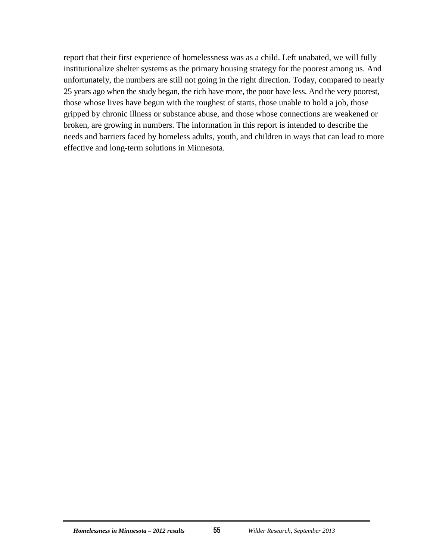report that their first experience of homelessness was as a child. Left unabated, we will fully institutionalize shelter systems as the primary housing strategy for the poorest among us. And unfortunately, the numbers are still not going in the right direction. Today, compared to nearly 25 years ago when the study began, the rich have more, the poor have less. And the very poorest, those whose lives have begun with the roughest of starts, those unable to hold a job, those gripped by chronic illness or substance abuse, and those whose connections are weakened or broken, are growing in numbers. The information in this report is intended to describe the needs and barriers faced by homeless adults, youth, and children in ways that can lead to more effective and long-term solutions in Minnesota.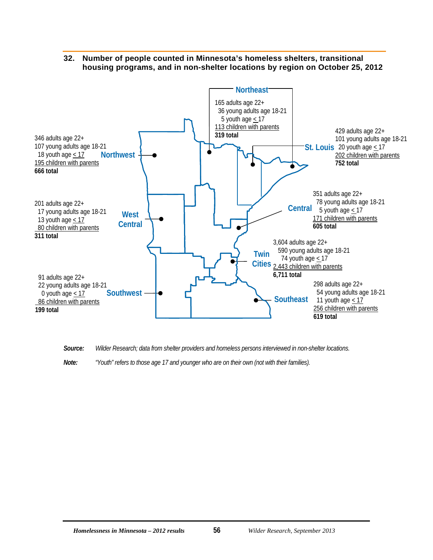#### **32. Number of people counted in Minnesota's homeless shelters, transitional housing programs, and in non-shelter locations by region on October 25, 2012**

<span id="page-62-0"></span>

*Source: Wilder Research; data from shelter providers and homeless persons interviewed in non-shelter locations.*

*Note: "Youth" refers to those age 17 and younger who are on their own (not with their families).*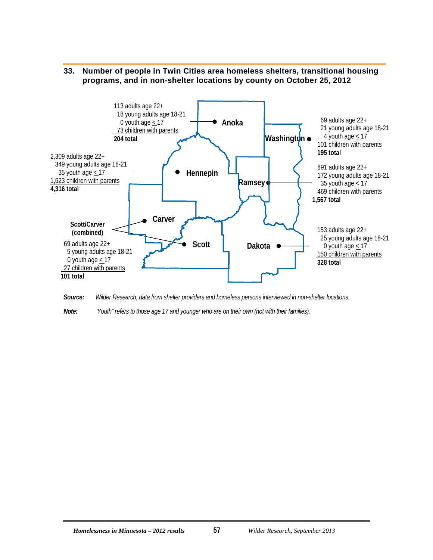<span id="page-63-0"></span>



*Source: Wilder Research; data from shelter providers and homeless persons interviewed in non-shelter locations.*

*Note: "Youth" refers to those age 17 and younger who are on their own (not with their families).*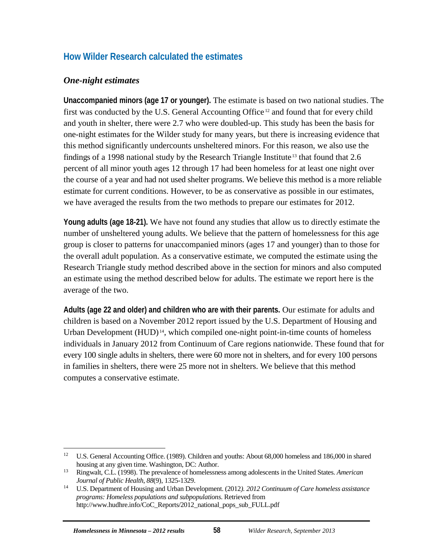## <span id="page-64-0"></span>**How Wilder Research calculated the estimates**

### <span id="page-64-1"></span>*One-night estimates*

**Unaccompanied minors (age 17 or younger).** The estimate is based on two national studies. The first was conducted by the U.S. General Accounting Office [12](#page-64-2) and found that for every child and youth in shelter, there were 2.7 who were doubled-up. This study has been the basis for one-night estimates for the Wilder study for many years, but there is increasing evidence that this method significantly undercounts unsheltered minors. For this reason, we also use the findings of a 1998 national study by the Research Triangle Institute [13](#page-64-3) that found that 2.6 percent of all minor youth ages 12 through 17 had been homeless for at least one night over the course of a year and had not used shelter programs. We believe this method is a more reliable estimate for current conditions. However, to be as conservative as possible in our estimates, we have averaged the results from the two methods to prepare our estimates for 2012.

**Young adults (age 18-21).** We have not found any studies that allow us to directly estimate the number of unsheltered young adults. We believe that the pattern of homelessness for this age group is closer to patterns for unaccompanied minors (ages 17 and younger) than to those for the overall adult population. As a conservative estimate, we computed the estimate using the Research Triangle study method described above in the section for minors and also computed an estimate using the method described below for adults. The estimate we report here is the average of the two.

**Adults (age 22 and older) and children who are with their parents.** Our estimate for adults and children is based on a November 2012 report issued by the U.S. Department of Housing and Urban Development  $(HUD)^{14}$  $(HUD)^{14}$  $(HUD)^{14}$ , which compiled one-night point-in-time counts of homeless individuals in January 2012 from Continuum of Care regions nationwide. These found that for every 100 single adults in shelters, there were 60 more not in shelters, and for every 100 persons in families in shelters, there were 25 more not in shelters. We believe that this method computes a conservative estimate.

<span id="page-64-2"></span> <sup>12</sup> U.S. General Accounting Office. (1989). Children and youths: About 68,000 homeless and 186,000 in shared housing at any given time. Washington, DC: Author.

<span id="page-64-3"></span><sup>13</sup> Ringwalt, C.L. (1998). The prevalence of homelessness among adolescents in the United States. *American* 

<span id="page-64-4"></span><sup>&</sup>lt;sup>14</sup> U.S. Department of Housing and Urban Development. (2012). 2012 Continuum of Care homeless assistance *programs: Homeless populations and subpopulations*. Retrieved from http://www.hudhre.info/CoC\_Reports/2012\_national\_pops\_sub\_FULL.pdf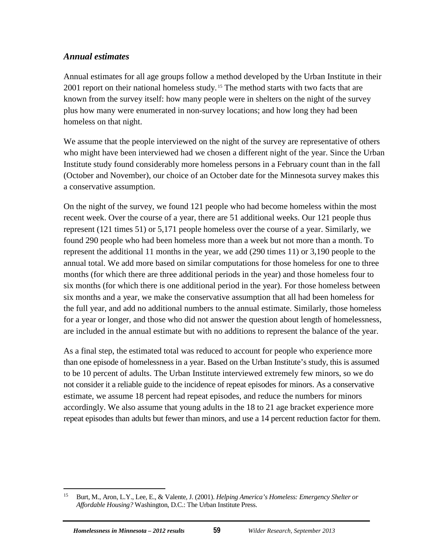### <span id="page-65-0"></span>*Annual estimates*

Annual estimates for all age groups follow a method developed by the Urban Institute in their 2001 report on their national homeless study. [15](#page-65-1) The method starts with two facts that are known from the survey itself: how many people were in shelters on the night of the survey plus how many were enumerated in non-survey locations; and how long they had been homeless on that night.

We assume that the people interviewed on the night of the survey are representative of others who might have been interviewed had we chosen a different night of the year. Since the Urban Institute study found considerably more homeless persons in a February count than in the fall (October and November), our choice of an October date for the Minnesota survey makes this a conservative assumption.

On the night of the survey, we found 121 people who had become homeless within the most recent week. Over the course of a year, there are 51 additional weeks. Our 121 people thus represent (121 times 51) or 5,171 people homeless over the course of a year. Similarly, we found 290 people who had been homeless more than a week but not more than a month. To represent the additional 11 months in the year, we add (290 times 11) or 3,190 people to the annual total. We add more based on similar computations for those homeless for one to three months (for which there are three additional periods in the year) and those homeless four to six months (for which there is one additional period in the year). For those homeless between six months and a year, we make the conservative assumption that all had been homeless for the full year, and add no additional numbers to the annual estimate. Similarly, those homeless for a year or longer, and those who did not answer the question about length of homelessness, are included in the annual estimate but with no additions to represent the balance of the year.

As a final step, the estimated total was reduced to account for people who experience more than one episode of homelessness in a year. Based on the Urban Institute's study, this is assumed to be 10 percent of adults. The Urban Institute interviewed extremely few minors, so we do not consider it a reliable guide to the incidence of repeat episodes for minors. As a conservative estimate, we assume 18 percent had repeat episodes, and reduce the numbers for minors accordingly. We also assume that young adults in the 18 to 21 age bracket experience more repeat episodes than adults but fewer than minors, and use a 14 percent reduction factor for them.

<span id="page-65-1"></span> <sup>15</sup> Burt, M., Aron, L.Y., Lee, E., & Valente, J. (2001). *Helping America's Homeless: Emergency Shelter or Affordable Housing?* Washington, D.C.: The Urban Institute Press.